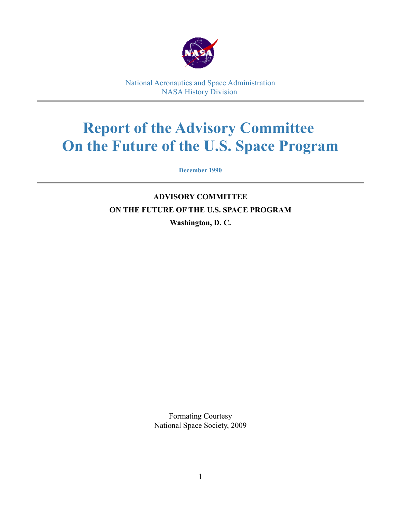

National Aeronautics and Space Administration NASA History Division

# **Report of the Advisory Committee On the Future of the U.S. Space Program**

**December 1990**

## **ADVISORY COMMITTEE ON THE FUTURE OF THE U.S. SPACE PROGRAM**

**Washington, D. C.**

Formating Courtesy National Space Society, 2009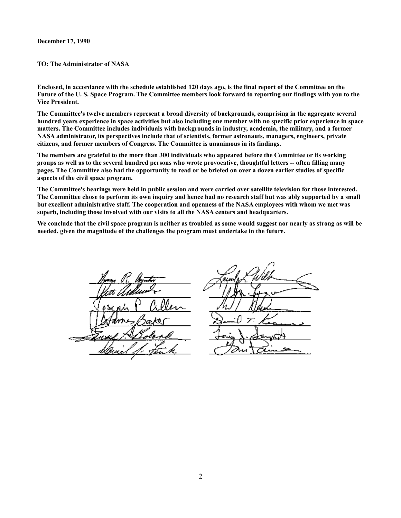**December 17, 1990**

**TO: The Administrator of NASA**

**Enclosed, in accordance with the schedule established 120 days ago, is the final report of the Committee on the Future of the U. S. Space Program. The Committee members look forward to reporting our findings with you to the Vice President.**

**The Committee's twelve members represent a broad diversity of backgrounds, comprising in the aggregate several hundred years experience in space activities but also including one member with no specific prior experience in space matters. The Committee includes individuals with backgrounds in industry, academia, the military, and a former NASA administrator, its perspectives include that of scientists, former astronauts, managers, engineers, private citizens, and former members of Congress. The Committee is unanimous in its findings.**

**The members are grateful to the more than 300 individuals who appeared before the Committee or its working groups as well as to the several hundred persons who wrote provocative, thoughtful letters -- often filling many pages. The Committee also had the opportunity to read or be briefed on over a dozen earlier studies of specific aspects of the civil space program.**

**The Committee's hearings were held in public session and were carried over satellite television for those interested. The Committee chose to perform its own inquiry and hence had no research staff but was ably supported by a small but excellent administrative staff. The cooperation and openness of the NASA employees with whom we met was superb, including those involved with our visits to all the NASA centers and headquarters.**

**We conclude that the civil space program is neither as troubled as some would suggest nor nearly as strong as will be needed, given the magnitude of the challenges the program must undertake in the future.**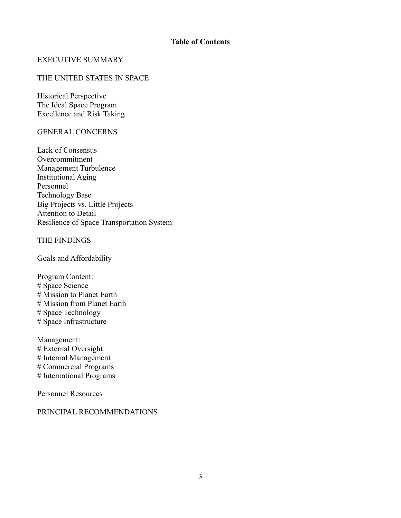## EXECUTIVE SUMMARY

## THE UNITED STATES IN SPACE

Historical Perspective The Ideal Space Program Excellence and Risk Taking

### GENERAL CONCERNS

Lack of Consensus Overcommitment Management Turbulence Institutional Aging Personnel Technology Base Big Projects vs. Little Projects Attention to Detail Resilience of Space Transportation System

### THE FINDINGS

Goals and Affordability

- Program Content: # Space Science # Mission to Planet Earth # Mission from Planet Earth # Space Technology # Space Infrastructure
- Management: # External Oversight # Internal Management # Commercial Programs # International Programs

Personnel Resources

## PRINCIPAL RECOMMENDATIONS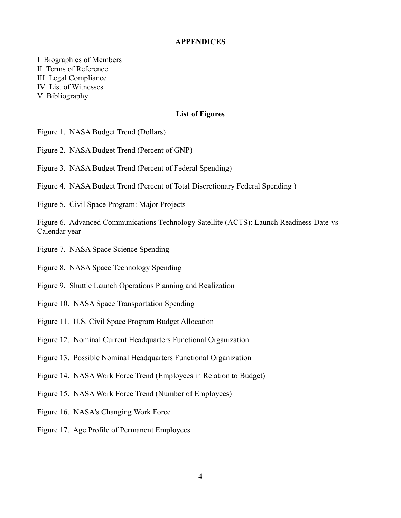#### **APPENDICES**

I Biographies of Members II Terms of Reference III Legal Compliance IV List of Witnesses V Bibliography

#### **List of Figures**

Figure 1. NASA Budget Trend (Dollars)

- Figure 2. NASA Budget Trend (Percent of GNP)
- Figure 3. NASA Budget Trend (Percent of Federal Spending)
- Figure 4. NASA Budget Trend (Percent of Total Discretionary Federal Spending )
- Figure 5. Civil Space Program: Major Projects

Figure 6. Advanced Communications Technology Satellite (ACTS): Launch Readiness Date-vs-Calendar year

- Figure 7. NASA Space Science Spending
- Figure 8. NASA Space Technology Spending
- Figure 9. Shuttle Launch Operations Planning and Realization
- Figure 10. NASA Space Transportation Spending
- Figure 11. U.S. Civil Space Program Budget Allocation
- Figure 12. Nominal Current Headquarters Functional Organization
- Figure 13. Possible Nominal Headquarters Functional Organization
- Figure 14. NASA Work Force Trend (Employees in Relation to Budget)
- Figure 15. NASA Work Force Trend (Number of Employees)
- Figure 16. NASA's Changing Work Force
- Figure 17. Age Profile of Permanent Employees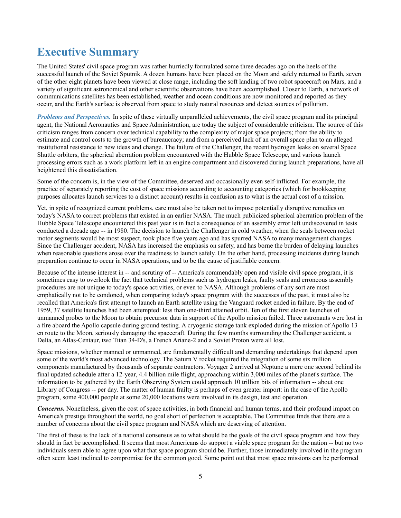## **Executive Summary**

The United States' civil space program was rather hurriedly formulated some three decades ago on the heels of the successful launch of the Soviet Sputnik. A dozen humans have been placed on the Moon and safely returned to Earth, seven of the other eight planets have been viewed at close range, including the soft landing of two robot spacecraft on Mars, and a variety of significant astronomical and other scientific observations have been accomplished. Closer to Earth, a network of communications satellites has been established, weather and ocean conditions are now monitored and reported as they occur, and the Earth's surface is observed from space to study natural resources and detect sources of pollution.

*Problems and Perspectives.* In spite of these virtually unparalleled achievements, the civil space program and its principal agent, the National Aeronautics and Space Administration, are today the subject of considerable criticism. The source of this criticism ranges from concern over technical capability to the complexity of major space projects; from the ability to estimate and control costs to the growth of bureaucracy; and from a perceived lack of an overall space plan to an alleged institutional resistance to new ideas and change. The failure of the Challenger, the recent hydrogen leaks on several Space Shuttle orbiters, the spherical aberration problem encountered with the Hubble Space Telescope, and various launch processing errors such as a work platform left in an engine compartment and discovered during launch preparations, have all heightened this dissatisfaction.

Some of the concern is, in the view of the Committee, deserved and occasionally even self-inflicted. For example, the practice of separately reporting the cost of space missions according to accounting categories (which for bookkeeping purposes allocates launch services to a distinct account) results in confusion as to what is the actual cost of a mission.

Yet, in spite of recognized current problems, care must also be taken not to impose potentially disruptive remedies on today's NASA to correct problems that existed in an earlier NASA. The much publicized spherical aberration problem of the Hubble Space Telescope encountered this past year is in fact a consequence of an assembly error left undiscovered in tests conducted a decade ago -- in 1980. The decision to launch the Challenger in cold weather, when the seals between rocket motor segments would be most suspect, took place five years ago and has spurred NASA to many management changes. Since the Challenger accident, NASA has increased the emphasis on safety, and has borne the burden of delaying launches when reasonable questions arose over the readiness to launch safely. On the other hand, processing incidents during launch preparation continue to occur in NASA operations, and to be the cause of justifiable concern.

Because of the intense interest in -- and scrutiny of -- America's commendably open and visible civil space program, it is sometimes easy to overlook the fact that technical problems such as hydrogen leaks, faulty seals and erroneous assembly procedures are not unique to today's space activities, or even to NASA. Although problems of any sort are most emphatically not to be condoned, when comparing today's space program with the successes of the past, it must also be recalled that America's first attempt to launch an Earth satellite using the Vanguard rocket ended in failure. By the end of 1959, 37 satellite launches had been attempted: less than one-third attained orbit. Ten of the first eleven launches of unmanned probes to the Moon to obtain precursor data in support of the Apollo mission failed. Three astronauts were lost in a fire aboard the Apollo capsule during ground testing. A cryogenic storage tank exploded during the mission of Apollo 13 en route to the Moon, seriously damaging the spacecraft. During the few months surrounding the Challenger accident, a Delta, an Atlas-Centaur, two Titan 34-D's, a French Ariane-2 and a Soviet Proton were all lost.

Space missions, whether manned or unmanned, are fundamentally difficult and demanding undertakings that depend upon some of the world's most advanced technology. The Saturn V rocket required the integration of some six million components manufactured by thousands of separate contractors. Voyager 2 arrived at Neptune a mere one second behind its final updated schedule after a 12-year, 4.4 billion mile flight, approaching within 3,000 miles of the planet's surface. The information to be gathered by the Earth Observing System could approach 10 trillion bits of information -- about one Library of Congress -- per day. The matter of human frailty is perhaps of even greater import: in the case of the Apollo program, some 400,000 people at some 20,000 locations were involved in its design, test and operation.

*Concerns.* Nonetheless, given the cost of space activities, in both financial and human terms, and their profound impact on America's prestige throughout the world, no goal short of perfection is acceptable. The Committee finds that there are a number of concerns about the civil space program and NASA which are deserving of attention.

The first of these is the lack of a national consensus as to what should be the goals of the civil space program and how they should in fact be accomplished. It seems that most Americans do support a viable space program for the nation -- but no two individuals seem able to agree upon what that space program should be. Further, those immediately involved in the program often seem least inclined to compromise for the common good. Some point out that most space missions can be performed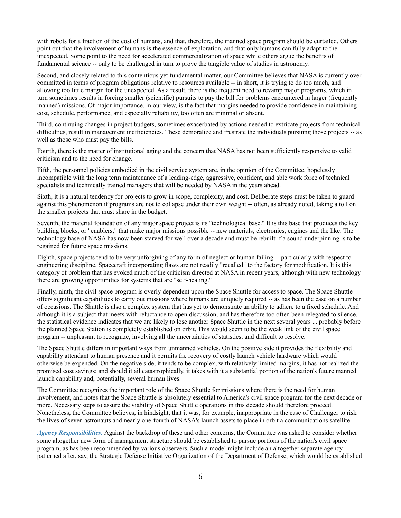with robots for a fraction of the cost of humans, and that, therefore, the manned space program should be curtailed. Others point out that the involvement of humans is the essence of exploration, and that only humans can fully adapt to the unexpected. Some point to the need for accelerated commercialization of space while others argue the benefits of fundamental science -- only to be challenged in turn to prove the tangible value of studies in astronomy.

Second, and closely related to this contentious yet fundamental matter, our Committee believes that NASA is currently over committed in terms of program obligations relative to resources available -- in short, it is trying to do too much, and allowing too little margin for the unexpected. As a result, there is the frequent need to revamp major programs, which in turn sometimes results in forcing smaller (scientific) pursuits to pay the bill for problems encountered in larger (frequently manned) missions. Of major importance, in our view, is the fact that margins needed to provide confidence in maintaining cost, schedule, performance, and especially reliability, too often are minimal or absent.

Third, continuing changes in project budgets, sometimes exacerbated by actions needed to extricate projects from technical difficulties, result in management inefficiencies. These demoralize and frustrate the individuals pursuing those projects -- as well as those who must pay the bills.

Fourth, there is the matter of institutional aging and the concern that NASA has not been sufficiently responsive to valid criticism and to the need for change.

Fifth, the personnel policies embodied in the civil service system are, in the opinion of the Committee, hopelessly incompatible with the long term maintenance of a leading-edge, aggressive, confident, and able work force of technical specialists and technically trained managers that will be needed by NASA in the years ahead.

Sixth, it is a natural tendency for projects to grow in scope, complexity, and cost. Deliberate steps must be taken to guard against this phenomenon if programs are not to collapse under their own weight -- often, as already noted, taking a toll on the smaller projects that must share in the budget.

Seventh, the material foundation of any major space project is its "technological base." It is this base that produces the key building blocks, or "enablers," that make major missions possible -- new materials, electronics, engines and the like. The technology base of NASA has now been starved for well over a decade and must be rebuilt if a sound underpinning is to be regained for future space missions.

Eighth, space projects tend to be very unforgiving of any form of neglect or human failing -- particularly with respect to engineering discipline. Spacecraft incorporating flaws are not readily "recalled" to the factory for modification. It is this category of problem that has evoked much of the criticism directed at NASA in recent years, although with new technology there are growing opportunities for systems that are "self-healing."

Finally, ninth, the civil space program is overly dependent upon the Space Shuttle for access to space. The Space Shuttle offers significant capabilities to carry out missions where humans are uniquely required -- as has been the case on a number of occasions. The Shuttle is also a complex system that has yet to demonstrate an ability to adhere to a fixed schedule. And although it is a subject that meets with reluctance to open discussion, and has therefore too often been relegated to silence, the statistical evidence indicates that we are likely to lose another Space Shuttle in the next several years ... probably before the planned Space Station is completely established on orbit. This would seem to be the weak link of the civil space program -- unpleasant to recognize, involving all the uncertainties of statistics, and difficult to resolve.

The Space Shuttle differs in important ways from unmanned vehicles. On the positive side it provides the flexibility and capability attendant to human presence and it permits the recovery of costly launch vehicle hardware which would otherwise be expended. On the negative side, it tends to be complex, with relatively limited margins; it has not realized the promised cost savings; and should it ail catastrophically, it takes with it a substantial portion of the nation's future manned launch capability and, potentially, several human lives.

The Committee recognizes the important role of the Space Shuttle for missions where there is the need for human involvement, and notes that the Space Shuttle is absolutely essential to America's civil space program for the next decade or more. Necessary steps to assure the viability of Space Shuttle operations in this decade should therefore proceed. Nonetheless, the Committee believes, in hindsight, that it was, for example, inappropriate in the case of Challenger to risk the lives of seven astronauts and nearly one-fourth of NASA's launch assets to place in orbit a communications satellite.

*Agency Responsibilities.* Against the backdrop of these and other concerns, the Committee was asked to consider whether some altogether new form of management structure should be established to pursue portions of the nation's civil space program, as has been recommended by various observers. Such a model might include an altogether separate agency patterned after, say, the Strategic Defense Initiative Organization of the Department of Defense, which would be established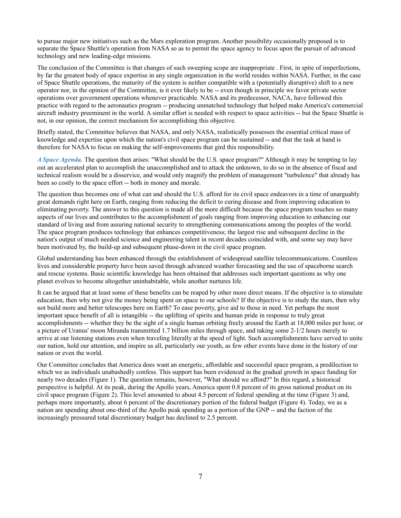to pursue major new initiatives such as the Mars exploration program. Another possibility occasionally proposed is to separate the Space Shuttle's operation from NASA so as to permit the space agency to focus upon the pursuit of advanced technology and new leading-edge missions.

The conclusion of the Committee is that changes of such sweeping scope are inappropriate . First, in spite of imperfections, by far the greatest body of space expertise in any single organization in the world resides within NASA. Further, in the case of Space Shuttle operations, the maturity of the system is neither compatible with a (potentially disruptive) shift to a new operator nor, in the opinion of the Committee, is it ever likely to be -- even though in principle we favor private sector operations over government operations whenever practicable. NASA and its predecessor, NACA, have followed this practice with regard to the aeronautics program -- producing unmatched technology that helped make America's commercial aircraft industry preeminent in the world. A similar effort is needed with respect to space activities -- but the Space Shuttle is not, in our opinion, the correct mechanism for accomplishing this objective.

Briefly stated, the Committee believes that NASA, and only NASA, realistically possesses the essential critical mass of knowledge and expertise upon which the nation's civil space program can be sustained -- and that the task at hand is therefore for NASA to focus on making the self-improvements that gird this responsibility.

*A Space Agenda.* The question then arises: "What should be the U.S. space program?" Although it may be tempting to lay out an accelerated plan to accomplish the unaccomplished and to attack the unknown, to do so in the absence of fiscal and technical realism would be a disservice, and would only magnify the problem of management "turbulence" that already has been so costly to the space effort -- both in money and morale.

The question thus becomes one of what can and should the U.S. afford for its civil space endeavors in a time of unarguably great demands right here on Earth, ranging from reducing the deficit to curing disease and from improving education to eliminating poverty. The answer to this question is made all the more difficult because the space program touches so many aspects of our lives and contributes to the accomplishment of goals ranging from improving education to enhancing our standard of living and from assuring national security to strengthening communications among the peoples of the world. The space program produces technology that enhances competitiveness; the largest rise and subsequent decline in the nation's output of much needed science and engineering talent in recent decades coincided with, and some say may have been motivated by, the build-up and subsequent phase-down in the civil space program.

Global understanding has been enhanced through the establishment of widespread satellite telecommunications. Countless lives and considerable property have been saved through advanced weather forecasting and the use of spaceborne search and rescue systems. Basic scientific knowledge has been obtained that addresses such important questions as why one planet evolves to become altogether uninhabitable, while another nurtures life.

It can be argued that at least some of these benefits can be reaped by other more direct means. If the objective is to stimulate education, then why not give the money being spent on space to our schools? If the objective is to study the stars, then why not build more and better telescopes here on Earth? To ease poverty, give aid to those in need. Yet perhaps the most important space benefit of all is intangible -- the uplifting of spirits and human pride in response to truly great accomplishments -- whether they be the sight of a single human orbiting freely around the Earth at 18,000 miles per hour, or a picture of Uranus' moon Miranda transmitted 1.7 billion miles through space, and taking some 2-1/2 hours merely to arrive at our listening stations even when traveling literally at the speed of light. Such accomplishments have served to unite our nation, hold our attention, and inspire us all, particularly our youth, as few other events have done in the history of our nation or even the world.

Our Committee concludes that America does want an energetic, affordable and successful space program, a predilection to which we as individuals unabashedly confess. This support has been evidenced in the gradual growth in space funding for nearly two decades (Figure 1). The question remains, however, "What should we afford?" In this regard, a historical perspective is helpful. At its peak, during the Apollo years, America spent 0.8 percent of its gross national product on its civil space program (Figure 2). This level amounted to about 4.5 percent of federal spending at the time (Figure 3) and, perhaps more importantly, about 6 percent of the discretionary portion of the federal budget (Figure 4). Today, we as a nation are spending about one-third of the Apollo peak spending as a portion of the GNP -- and the faction of the increasingly pressured total discretionary budget has declined to 2.5 percent.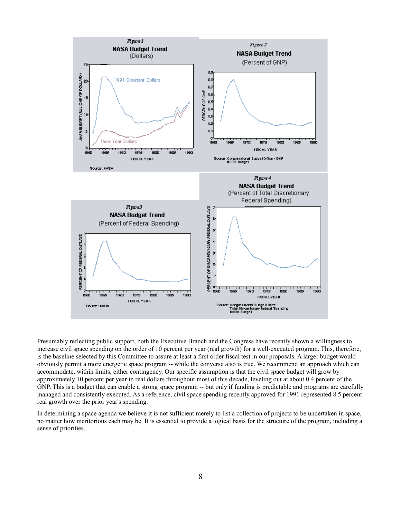

Presumably reflecting public support, both the Executive Branch and the Congress have recently shown a willingness to increase civil space spending on the order of 10 percent per year (real growth) for a well-executed program. This, therefore, is the baseline selected by this Committee to assure at least a first order fiscal test in our proposals. A larger budget would obviously permit a more energetic space program -- while the converse also is true. We recommend an approach which can accommodate, within limits, either contingency. Our specific assumption is that the civil space budget will grow by approximately 10 percent per year in real dollars throughout most of this decade, leveling out at about 0.4 percent of the GNP. This is a budget that can enable a strong space program -- but only if funding is predictable and programs are carefully managed and consistently executed. As a reference, civil space spending recently approved for 1991 represented 8.5 percent real growth over the prior year's spending.

In determining a space agenda we believe it is not sufficient merely to list a collection of projects to be undertaken in space, no matter how meritorious each may be. It is essential to provide a logical basis for the structure of the program, including a sense of priorities.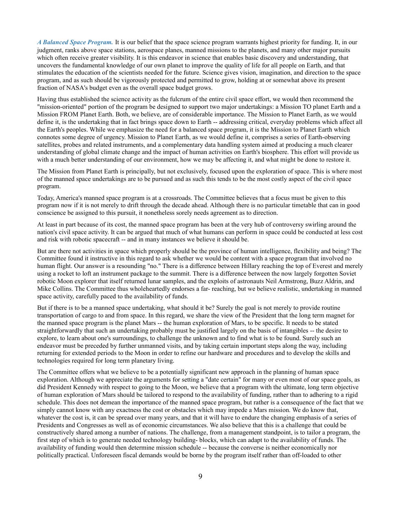*A Balanced Space Program.* It is our belief that the space science program warrants highest priority for funding. It, in our judgment, ranks above space stations, aerospace planes, manned missions to the planets, and many other major pursuits which often receive greater visibility. It is this endeavor in science that enables basic discovery and understanding, that uncovers the fundamental knowledge of our own planet to improve the quality of life for all people on Earth, and that stimulates the education of the scientists needed for the future. Science gives vision, imagination, and direction to the space program, and as such should be vigorously protected and permitted to grow, holding at or somewhat above its present fraction of NASA's budget even as the overall space budget grows.

Having thus established the science activity as the fulcrum of the entire civil space effort, we would then recommend the "mission-oriented" portion of the program be designed to support two major undertakings: a Mission TO planet Earth and a Mission FROM Planet Earth. Both, we believe, are of considerable importance. The Mission to Planet Earth, as we would define it, is the undertaking that in fact brings space down to Earth -- addressing critical, everyday problems which affect all the Earth's peoples. While we emphasize the need for a balanced space program, it is the Mission to Planet Earth which connotes some degree of urgency. Mission to Planet Earth, as we would define it, comprises a series of Earth-observing satellites, probes and related instruments, and a complementary data handling system aimed at producing a much clearer understanding of global climate change and the impact of human activities on Earth's biosphere. This effort will provide us with a much better understanding of our environment, how we may be affecting it, and what might be done to restore it.

The Mission from Planet Earth is principally, but not exclusively, focused upon the exploration of space. This is where most of the manned space undertakings are to be pursued and as such this tends to be the most costly aspect of the civil space program.

Today, America's manned space program is at a crossroads. The Committee believes that a focus must be given to this program now if it is not merely to drift through the decade ahead. Although there is no particular timetable that can in good conscience be assigned to this pursuit, it nonetheless sorely needs agreement as to direction.

At least in part because of its cost, the manned space program has been at the very hub of controversy swirling around the nation's civil space activity. It can be argued that much of what humans can perform in space could be conducted at less cost and risk with robotic spacecraft -- and in many instances we believe it should be.

But are there not activities in space which properly should be the province of human intelligence, flexibility and being? The Committee found it instructive in this regard to ask whether we would be content with a space program that involved no human flight. Our answer is a resounding "no." There is a difference between Hillary reaching the top of Everest and merely using a rocket to loft an instrument package to the summit. There is a difference between the now largely forgotten Soviet robotic Moon explorer that itself returned lunar samples, and the exploits of astronauts Neil Armstrong, Buzz Aldrin, and Mike Collins. The Committee thus wholeheartedly endorses a far- reaching, but we believe realistic, undertaking in manned space activity, carefully paced to the availability of funds.

But if there is to be a manned space undertaking, what should it be? Surely the goal is not merely to provide routine transportation of cargo to and from space. In this regard, we share the view of the President that the long term magnet for the manned space program is the planet Mars -- the human exploration of Mars, to be specific. It needs to be stated straightforwardly that such an undertaking probably must be justified largely on the basis of intangibles -- the desire to explore, to learn about one's surroundings, to challenge the unknown and to find what is to be found. Surely such an endeavor must be preceded by further unmanned visits, and by taking certain important steps along the way, including returning for extended periods to the Moon in order to refine our hardware and procedures and to develop the skills and technologies required for long term planetary living.

The Committee offers what we believe to be a potentially significant new approach in the planning of human space exploration. Although we appreciate the arguments for setting a "date certain" for many or even most of our space goals, as did President Kennedy with respect to going to the Moon, we believe that a program with the ultimate, long term objective of human exploration of Mars should be tailored to respond to the availability of funding, rather than to adhering to a rigid schedule. This does not demean the importance of the manned space program, but rather is a consequence of the fact that we simply cannot know with any exactness the cost or obstacles which may impede a Mars mission. We do know that, whatever the cost is, it can be spread over many years, and that it will have to endure the changing emphasis of a series of Presidents and Congresses as well as of economic circumstances. We also believe that this is a challenge that could be constructively shared among a number of nations. The challenge, from a management standpoint, is to tailor a program, the first step of which is to generate needed technology building- blocks, which can adapt to the availability of funds. The availability of funding would then determine mission schedule -- because the converse is neither economically nor politically practical. Unforeseen fiscal demands would be borne by the program itself rather than off-loaded to other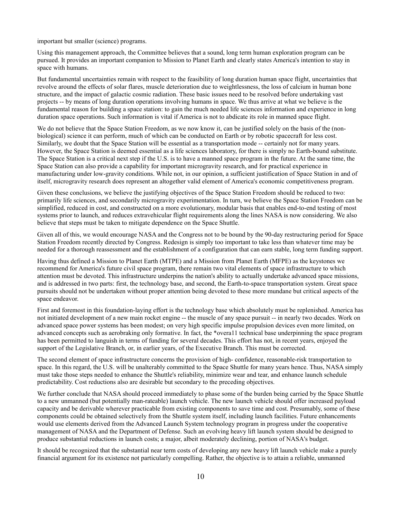important but smaller (science) programs.

Using this management approach, the Committee believes that a sound, long term human exploration program can be pursued. It provides an important companion to Mission to Planet Earth and clearly states America's intention to stay in space with humans.

But fundamental uncertainties remain with respect to the feasibility of long duration human space flight, uncertainties that revolve around the effects of solar flares, muscle deterioration due to weightlessness, the loss of calcium in human bone structure, and the impact of galactic cosmic radiation. These basic issues need to be resolved before undertaking vast projects -- by means of long duration operations involving humans in space. We thus arrive at what we believe is the fundamental reason for building a space station: to gain the much needed life sciences information and experience in long duration space operations. Such information is vital if America is not to abdicate its role in manned space flight.

We do not believe that the Space Station Freedom, as we now know it, can be justified solely on the basis of the (nonbiological) science it can perform, much of which can be conducted on Earth or by robotic spacecraft for less cost. Similarly, we doubt that the Space Station will be essential as a transportation mode -- certainly not for many years. However, the Space Station is deemed essential as a life sciences laboratory, for there is simply no Earth-bound substitute. The Space Station is a critical next step if the U.S. is to have a manned space program in the future. At the same time, the Space Station can also provide a capability for important microgravity research, and for practical experience in manufacturing under low-gravity conditions. While not, in our opinion, a sufficient justification of Space Station in and of itself, microgravity research does represent an altogether valid element of America's economic competitiveness program.

Given these conclusions, we believe the justifying objectives of the Space Station Freedom should be reduced to two: primarily life sciences, and secondarily microgravity experimentation. In turn, we believe the Space Station Freedom can be simplified, reduced in cost, and constructed on a more evolutionary, modular basis that enables end-to-end testing of most systems prior to launch, and reduces extravehicular flight requirements along the lines NASA is now considering. We also believe that steps must be taken to mitigate dependence on the Space Shuttle.

Given all of this, we would encourage NASA and the Congress not to be bound by the 90-day restructuring period for Space Station Freedom recently directed by Congress. Redesign is simply too important to take less than whatever time may be needed for a thorough reassessment and the establishment of a configuration that can earn stable, long term funding support.

Having thus defined a Mission to Planet Earth (MTPE) and a Mission from Planet Earth (MFPE) as the keystones we recommend for America's future civil space program, there remain two vital elements of space infrastructure to which attention must be devoted. This infrastructure underpins the nation's ability to actually undertake advanced space missions, and is addressed in two parts: first, the technology base, and second, the Earth-to-space transportation system. Great space pursuits should not be undertaken without proper attention being devoted to these more mundane but critical aspects of the space endeavor.

First and foremost in this foundation-laying effort is the technology base which absolutely must be replenished. America has not initiated development of a new main rocket engine -- the muscle of any space pursuit -- in nearly two decades. Work on advanced space power systems has been modest; on very high specific impulse propulsion devices even more limited, on advanced concepts such as aerobraking only formative. In fact, the \*overa11 technical base underpinning the space program has been permitted to languish in terms of funding for several decades. This effort has not, in recent years, enjoyed the support of the Legislative Branch, or, in earlier years, of the Executive Branch. This must be corrected.

The second element of space infrastructure concerns the provision of high- confidence, reasonable-risk transportation to space. In this regard, the U.S. will be unalterably committed to the Space Shuttle for many years hence. Thus, NASA simply must take those steps needed to enhance the Shuttle's reliability, minimize wear and tear, and enhance launch schedule predictability. Cost reductions also are desirable but secondary to the preceding objectives.

We further conclude that NASA should proceed immediately to phase some of the burden being carried by the Space Shuttle to a new unmanned (but potentially man-rateable) launch vehicle. The new launch vehicle should offer increased payload capacity and be derivable wherever practicable from existing components to save time and cost. Presumably, some of these components could be obtained selectively from the Shuttle system itself, including launch facilities. Future enhancements would use elements derived from the Advanced Launch System technology program in progress under the cooperative management of NASA and the Department of Defense. Such an evolving heavy lift launch system should be designed to produce substantial reductions in launch costs; a major, albeit moderately declining, portion of NASA's budget.

It should be recognized that the substantial near term costs of developing any new heavy lift launch vehicle make a purely financial argument for its existence not particularly compelling. Rather, the objective is to attain a reliable, unmanned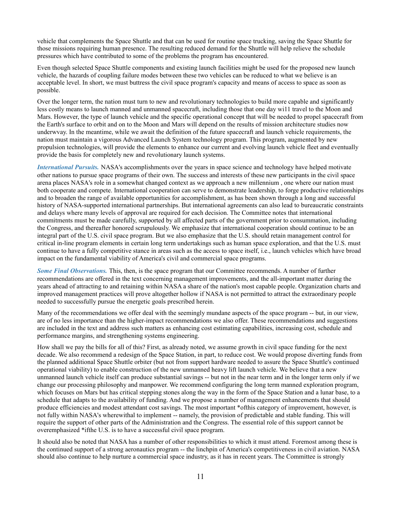vehicle that complements the Space Shuttle and that can be used for routine space trucking, saving the Space Shuttle for those missions requiring human presence. The resulting reduced demand for the Shuttle will help relieve the schedule pressures which have contributed to some of the problems the program has encountered.

Even though selected Space Shuttle components and existing launch facilities might be used for the proposed new launch vehicle, the hazards of coupling failure modes between these two vehicles can be reduced to what we believe is an acceptable level. In short, we must buttress the civil space program's capacity and means of access to space as soon as possible.

Over the longer term, the nation must turn to new and revolutionary technologies to build more capable and significantly less costly means to launch manned and unmanned spacecraft, including those that one day wi11 travel to the Moon and Mars. However, the type of launch vehicle and the specific operational concept that will be needed to propel spacecraft from the Earth's surface to orbit and on to the Moon and Mars will depend on the results of mission architecture studies now underwvay. In the meantime, while we await the definition of the future spacecraft and launch vehicle requirements, the nation must maintain a vigorous Advanced Launch System technology program. This program, augmented by new propulsion technologies, will provide the elements to enhance our current and evolving launch vehicle fleet and eventually provide the basis for completely new and revolutionary launch systems.

*International Pursuits.* NASA's accomplishments over the years in space science and technology have helped motivate other nations to pursue space programs of their own. The success and interests of these new participants in the civil space arena places NASA's role in a somewhat changed context as we approach a new millennium , one where our nation must both cooperate and compete. International cooperation can serve to demonstrate leadership, to forge productive relationships and to broaden the range of available opportunities for accomplishment, as has been shown through a long and successful history of NASA-supported international partnerships. But international agreements can also lead to bureaucratic constraints and delays where many levels of approval are required for each decision. The Committee notes that international commitments must be made carefully, supported by all affected parts of the government prior to consummation, including the Congress, and thereafter honored scrupulously. We emphasize that international cooperation should continue to be an integral part of the U.S. civil space program. But we also emphasize that the U.S. should retain management control for critical in-line program elements in certain long term undertakings such as human space exploration, and that the U.S. must continue to have a fully competitive stance in areas such as the access to space itself, i.e., launch vehicles which have broad impact on the fundamental viability of America's civil and commercial space programs.

*Some Final Observations.* This, then, is the space program that our Committee recommends. A number of further recommendations are offered in the text concerning management improvements, and the all-important matter during the years ahead of attracting to and retaining within NASA a share of the nation's most capable people. Organization charts and improved management practices will prove altogether hollow if NASA is not permitted to attract the extraordinary people needed to successfully pursue the energetic goals prescribed herein.

Many of the recommendations we offer deal with the seemingly mundane aspects of the space program -- but, in our view, are of no less importance than the higher-impact recommendations we also offer. These recommendations and suggestions are included in the text and address such matters as enhancing cost estimating capabilities, increasing cost, schedule and performance margins, and strengthening systems engineering.

How shall we pay the bills for all of this? First, as already noted, we assume growth in civil space funding for the next decade. We also recommend a redesign of the Space Station, in part, to reduce cost. We would propose diverting funds from the planned additional Space Shuttle orbiter (but not from support hardware needed to assure the Space Shuttle's continued operational viability) to enable construction of the new unmanned heavy lift launch vehicle. We believe that a new unmanned launch vehicle itself can produce substantial savings -- but not in the near term and in the longer term only if we change our processing philosophy and manpower. We recommend configuring the long term manned exploration program, which focuses on Mars but has critical stepping stones along the way in the form of the Space Station and a lunar base, to a schedule that adapts to the availability of funding. And we propose a number of management enhancements that should produce efficiencies and modest attendant cost savings. The most important \*ofthis category of improvement, however, is not fully within NASA's wherewithal to implement -- namely, the provision of predictable and stable funding. This will require the support of other parts of the Administration and the Congress. The essential role of this support cannot be overemphasized \*ifthe U.S. is to have a successful civil space program.

It should also be noted that NASA has a number of other responsibilities to which it must attend. Foremost among these is the continued support of a strong aeronautics program -- the linchpin of America's competitiveness in civil aviation. NASA should also continue to help nurture a commercial space industry, as it has in recent years. The Committee is strongly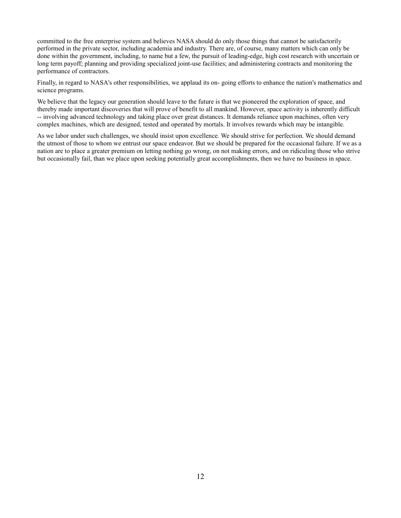committed to the free enterprise system and believes NASA should do only those things that cannot be satisfactorily performed in the private sector, including academia and industry. There are, of course, many matters which can only be done within the government, including, to name but a few, the pursuit of leading-edge, high cost research with uncertain or long term payoff; planning and providing specialized joint-use facilities; and administering contracts and monitoring the performance of contractors.

Finally, in regard to NASA's other responsibilities, we applaud its on- going efforts to enhance the nation's mathematics and science programs.

We believe that the legacy our generation should leave to the future is that we pioneered the exploration of space, and thereby made important discoveries that will prove of benefit to all mankind. However, space activity is inherently difficult -- involving advanced technology and taking place over great distances. It demands reliance upon machines, often very complex machines, which are designed, tested and operated by mortals. It involves rewards which may be intangible.

As we labor under such challenges, we should insist upon excellence. We should strive for perfection. We should demand the utmost of those to whom we entrust our space endeavor. But we should be prepared for the occasional failure. If we as a nation are to place a greater premium on letting nothing go wrong, on not making errors, and on ridiculing those who strive but occasionally fail, than we place upon seeking potentially great accomplishments, then we have no business in space.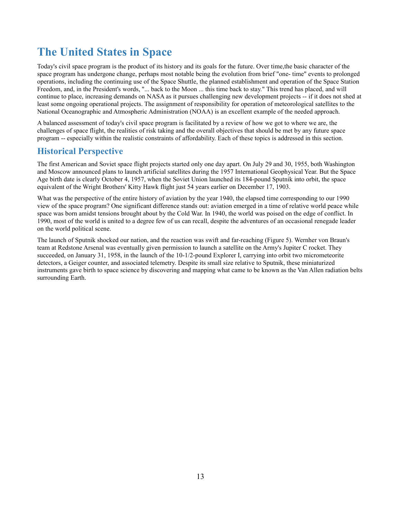## **The United States in Space**

Today's civil space program is the product of its history and its goals for the future. Over time,the basic character of the space program has undergone change, perhaps most notable being the evolution from brief "one- time" events to prolonged operations, including the continuing use of the Space Shuttle, the planned establishment and operation of the Space Station Freedom, and, in the President's words, "... back to the Moon ... this time back to stay." This trend has placed, and will continue to place, increasing demands on NASA as it pursues challenging new development projects -- if it does not shed at least some ongoing operational projects. The assignment of responsibility for operation of meteorological satellites to the National Oceanographic and Atmospheric Administration (NOAA) is an excellent example of the needed approach.

A balanced assessment of today's civil space program is facilitated by a review of how we got to where we are, the challenges of space flight, the realities of risk taking and the overall objectives that should be met by any future space program -- especially within the realistic constraints of affordability. Each of these topics is addressed in this section.

## **Historical Perspective**

The first American and Soviet space flight projects started only one day apart. On July 29 and 30, 1955, both Washington and Moscow announced plans to launch artificial satellites during the 1957 International Geophysical Year. But the Space Age birth date is clearly October 4, 1957, when the Soviet Union launched its 184-pound Sputnik into orbit, the space equivalent of the Wright Brothers' Kitty Hawk flight just 54 years earlier on December 17, 1903.

What was the perspective of the entire history of aviation by the year 1940, the elapsed time corresponding to our 1990 view of the space program? One significant difference stands out: aviation emerged in a time of relative world peace while space was born amidst tensions brought about by the Cold War. In 1940, the world was poised on the edge of conflict. In 1990, most of the world is united to a degree few of us can recall, despite the adventures of an occasional renegade leader on the world political scene.

The launch of Sputnik shocked our nation, and the reaction was swift and far-reaching (Figure 5). Wernher von Braun's team at Redstone Arsenal was eventually given permission to launch a satellite on the Army's Jupiter C rocket. They succeeded, on January 31, 1958, in the launch of the 10-1/2-pound Explorer I, carrying into orbit two micrometeorite detectors, a Geiger counter, and associated telemetry. Despite its small size relative to Sputnik, these miniaturized instruments gave birth to space science by discovering and mapping what came to be known as the Van Allen radiation belts surrounding Earth.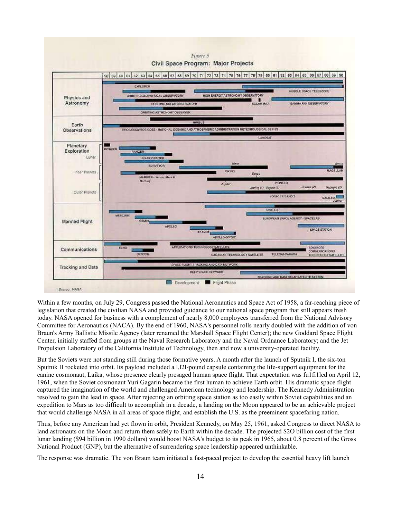

Within a few months, on July 29, Congress passed the National Aeronautics and Space Act of 1958, a far-reaching piece of legislation that created the civilian NASA and provided guidance to our national space program that still appears fresh today. NASA opened for business with a complement of nearly 8,000 employees transferred from the National Advisory Committee for Aeronautics (NACA). By the end of 1960, NASA's personnel rolls nearly doubled with the addition of von Braun's Army Ballistic Missile Agency (later renamed the Marshall Space Flight Center); the new Goddard Space Flight Center, initially staffed from groups at the Naval Research Laboratory and the Naval Ordnance Laboratory; and the Jet Propulsion Laboratory of the California Institute of Technology, then and now a university-operated facility.

But the Soviets were not standing still during those formative years. A month after the launch of Sputnik I, the six-ton Sputnik II rocketed into orbit. Its payload included a l,l2l-pound capsule containing the life-support equipment for the canine cosmonaut, Laika, whose presence clearly presaged human space flight. That expectation was fu1fi1led on April 12, 1961, when the Soviet cosmonaut Yuri Gagarin became the first human to achieve Earth orbit. His dramatic space flight captured the imagination of the world and challenged American technology and leadership. The Kennedy Administration resolved to gain the lead in space. After rejecting an orbiting space station as too easily within Soviet capabilities and an expedition to Mars as too difficult to accomplish in a decade, a landing on the Moon appeared to be an achievable project that would challenge NASA in all areas of space flight, and establish the U.S. as the preeminent spacefaring nation.

Thus, before any American had yet flown in orbit, President Kennedy, on May 25, 1961, asked Congress to direct NASA to land astronauts on the Moon and return them safely to Earth within the decade. The projected \$2O billion cost of the first lunar landing (\$94 billion in 1990 dollars) would boost NASA's budget to its peak in 1965, about 0.8 percent of the Gross National Product (GNP), but the alternative of surrendering space leadership appeared unthinkable.

The response was dramatic. The von Braun team initiated a fast-paced project to develop the essential heavy lift launch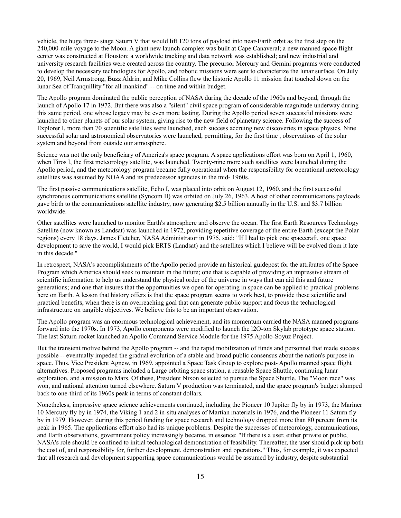vehicle, the huge three- stage Saturn V that would lift 120 tons of payload into near-Earth orbit as the first step on the 240,000-mile voyage to the Moon. A giant new launch complex was built at Cape Canaveral; a new manned space flight center was constructed at Houston; a worldwide tracking and data network was established; and new industrial and university research facilities were created across the country. The precursor Mercury and Gemini programs were conducted to develop the necessary technologies for Apollo, and robotic missions were sent to characterize the lunar surface. On July 20, 1969, Neil Armstrong, Buzz Aldrin, and Mike Collins flew the historic Apollo 11 mission that touched down on the lunar Sea of Tranquillity "for all mankind" -- on time and within budget.

The Apollo program dominated the public perception of NASA during the decade of the 1960s and beyond, through the launch of Apollo 17 in 1972. But there was also a "silent" civil space program of considerable magnitude underway during this same period, one whose legacy may be even more lasting. During the Apollo period seven successful missions were launched to other planets of our solar system, giving rise to the new field of planetary science. Following the success of Explorer I, more than 70 scientific satellites were launched, each success accruing new discoveries in space physics. Nine successful solar and astronomical observatories were launched, permitting, for the first time , observations of the solar system and beyond from outside our atmosphere.

Science was not the only beneficiary of America's space program. A space applications effort was born on April 1, 1960, when Tiros I, the first meteorology satellite, was launched. Twenty-nine more such satellites were launched during the Apollo period, and the meteorology program became fully operational when the responsibility for operational meteorology satellites was assumed by NOAA and its predecessor agencies in the mid- 1960s.

The first passive communications satellite, Echo I, was placed into orbit on August 12, 1960, and the first successful synchronous communications satellite (Syncom II) was orbited on July 26, 1963. A host of other communications payloads gave birth to the communications satellite industry, now generating \$2.5 billion annually in the U.S. and \$3.7 billion worldwide.

Other satellites were launched to monitor Earth's atmosphere and observe the ocean. The first Earth Resources Technology Satellite (now known as Landsat) was launched in 1972, providing repetitive coverage of the entire Earth (except the Polar regions) every 18 days. James Fletcher, NASA Administrator in 1975, said: "If I had to pick one spacecraft, one space development to save the world, I would pick ERTS (Landsat) and the satellites which I believe will be evolved from it late in this decade."

In retrospect, NASA's accomplishments of the Apollo period provide an historical guidepost for the attributes of the Space Program which America should seek to maintain in the future; one that is capable of providing an impressive stream of scientific information to help us understand the physical order of the universe in ways that can aid this and future generations; and one that insures that the opportunities we open for operating in space can be applied to practical problems here on Earth. A lesson that history offers is that the space program seems to work best, to provide these scientific and practical benefits, when there is an overreaching goal that can generate public support and focus the technological infrastructure on tangible objectives. We believe this to be an important observation.

The Apollo program was an enormous technological achievement, and its momentum carried the NASA manned programs forward into the 1970s. In 1973, Apollo components were modified to launch the l2O-ton Skylab prototype space station. The last Saturn rocket launched an Apollo Command Service Module for the 1975 Apollo-Soyuz Project.

But the transient motive behind the Apollo program -- and the rapid mobilization of funds and personnel that made success possible -- eventually impeded the gradual evolution of a stable and broad public consensus about the nation's purpose in space. Thus, Vice President Agnew, in 1969, appointed a Space Task Group to explore post- Apollo manned space flight alternatives. Proposed programs included a Large orbiting space station, a reusable Space Shuttle, continuing lunar exploration, and a mission to Mars. Of these, President Nixon selected to pursue the Space Shuttle. The "Moon race" was won, and national attention turned elsewhere. Saturn V production was terminated, and the space program's budget slumped back to one-third of its 1960s peak in terms of constant dollars.

Nonetheless, impressive space science achievements continued, including the Pioneer 10 Jupiter fly by in 1973, the Mariner 10 Mercury fly by in 1974, the Viking 1 and 2 in-situ analyses of Martian materials in 1976, and the Pioneer 11 Saturn fly by in 1979. However, during this period funding for space research and technology dropped more than 80 percent from its peak in 1965. The applications effort also had its unique problems. Despite the successes of meteorology, communications, and Earth observations, government policy increasingly became, in essence: "If there is a user, either private or public, NASA's role should be confined to initial technological demonstration of feasibility. Thereafter, the user should pick up both the cost of, and responsibility for, further development, demonstration and operations." Thus, for example, it was expected that all research and development supporting space communications would be assumed by industry, despite substantial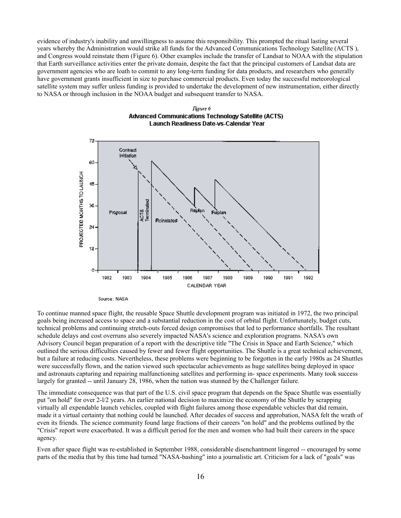evidence of industry's inability and unwillingness to assume this responsibility. This prompted the ritual lasting several years whereby the Administration would strike all funds for the Advanced Communications Technology Satellite (ACTS ), and Congress would reinstate them (Figure 6). Other examples include the transfer of Landsat to NOAA with the stipulation that Earth surveillance activities enter the private domain, despite the fact that the principal customers of Landsat data are government agencies who are loath to commit to any long-term funding for data products, and researchers who generally have government grants insufficient in size to purchase commercial products. Even today the successful meteorological satellite system may suffer unless funding is provided to undertake the development of new instrumentation, either directly to NASA or through inclusion in the NOAA budget and subsequent transfer to NASA.

Figure 6 **Advanced Communications Technology Satellite (ACTS)** Launch Readiness Date-vs-Calendar Year



Source: NASA

To continue manned space flight, the reusable Space Shuttle development program was initiated in 1972, the two principal goals being increased access to space and a substantial reduction in the cost of orbital flight. Unfortunately, budget cuts, technical problems and continuing stretch-outs forced design compromises that led to performance shortfalls. The resultant schedule delays and cost overruns also severely impacted NASA's science and exploration programs. NASA's own Advisory Council began preparation of a report with the descriptive title "The Crisis in Space and Earth Science," which outlined the serious difficulties caused by fewer and fewer flight opportunities. The Shuttle is a great technical achievement, but a failure at reducing costs. Nevertheless, these problems were beginning to be forgotten in the early 1980s as 24 Shuttles were successfully flown, and the nation viewed such spectacular achievements as huge satellites being deployed in space and astronauts capturing and repairing malfunctioning satellites and performing in- space experiments. Many took success largely for granted -- until January 28, 1986, when the nation was stunned by the Challenger failure.

The immediate consequence was that part of the U.S. civil space program that depends on the Space Shuttle was essentially put "on hold" for over 2-l/2 years. An earlier national decision to maximize the economy of the Shuttle by scrapping virtually all expendable launch vehicles, coupled with flight failures among those expendable vehicles that did remain, made it a virtual certainty that nothing could be launched. After decades of success and approbation, NASA felt the wrath of even its friends. The science community found large fractions of their careers "on hold" and the problems outlined by the "Crisis" report were exacerbated. It was a difficult period for the men and women who had built their careers in the space agency.

Even after space flight was re-established in September 1988, considerable disenchantment lingered -- encouraged by some parts of the media that by this time had turned "NASA-bashing" into a journalistic art. Criticism for a lack of "goals" was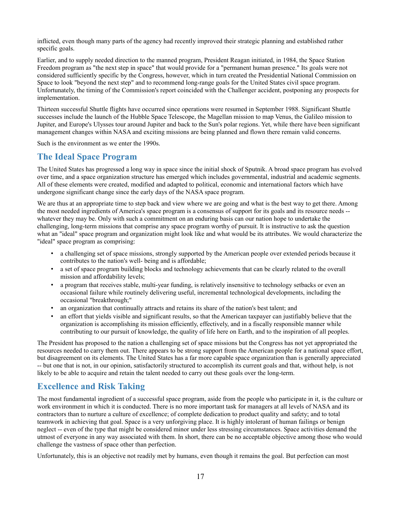inflicted, even though many parts of the agency had recently improved their strategic planning and established rather specific goals.

Earlier, and to supply needed direction to the manned program, President Reagan initiated, in 1984, the Space Station Freedom program as "the next step in space" that would provide for a "permanent human presence." Its goals were not considered sufficiently specific by the Congress, however, which in turn created the Presidential National Commission on Space to look "beyond the next step" and to recommend long-range goals for the United States civil space program. Unfortunately, the timing of the Commission's report coincided with the Challenger accident, postponing any prospects for implementation.

Thirteen successful Shuttle flights have occurred since operations were resumed in September 1988. Significant Shuttle successes include the launch of the Hubble Space Telescope, the Magellan mission to map Venus, the Galileo mission to Jupiter, and Europe's Ulysses tour around Jupiter and back to the Sun's polar regions. Yet, while there have been significant management changes within NASA and exciting missions are being planned and flown there remain valid concerns.

Such is the environment as we enter the 1990s.

### **The Ideal Space Program**

The United States has progressed a long way in space since the initial shock of Sputnik. A broad space program has evolved over time, and a space organization structure has emerged which includes governmental, industrial and academic segments. All of these elements were created, modified and adapted to political, economic and international factors which have undergone significant change since the early days of the NASA space program.

We are thus at an appropriate time to step back and view where we are going and what is the best way to get there. Among the most needed ingredients of America's space program is a consensus of support for its goals and its resource needs - whatever they may be. Only with such a commitment on an enduring basis can our nation hope to undertake the challenging, long-term missions that comprise any space program worthy of pursuit. It is instructive to ask the question what an "ideal" space program and organization might look like and what would be its attributes. We would characterize the "ideal" space program as comprising:

- a challenging set of space missions, strongly supported by the American people over extended periods because it contributes to the nation's well- being and is affordable;
- a set of space program building blocks and technology achievements that can be clearly related to the overall mission and affordability levels;
- a program that receives stable, multi-year funding, is relatively insensitive to technology setbacks or even an occasional failure while routinely delivering useful, incremental technological developments, including the occasional "breakthrough;"
- an organization that continually attracts and retains its share of the nation's best talent; and
- an effort that yields visible and significant results, so that the American taxpayer can justifiably believe that the organization is accomplishing its mission efficiently, effectively, and in a fiscally responsible manner while contributing to our pursuit of knowledge, the quality of life here on Earth, and to the inspiration of all peoples.

The President has proposed to the nation a challenging set of space missions but the Congress has not yet appropriated the resources needed to carry them out. There appears to be strong support from the American people for a national space effort, but disagreement on its elements. The United States has a far more capable space organization than is generally appreciated -- but one that is not, in our opinion, satisfactorily structured to accomplish its current goals and that, without help, is not likely to be able to acquire and retain the talent needed to carry out these goals over the long-term.

## **Excellence and Risk Taking**

The most fundamental ingredient of a successful space program, aside from the people who participate in it, is the culture or work environment in which it is conducted. There is no more important task for managers at all levels of NASA and its contractors than to nurture a culture of excellence; of complete dedication to product quality and safety; and to total teamwork in achieving that goal. Space is a very unforgiving place. It is highly intolerant of human failings or benign neglect -- even of the type that might be considered minor under less stressing circumstances. Space activities demand the utmost of everyone in any way associated with them. In short, there can be no acceptable objective among those who would challenge the vastness of space other than perfection.

Unfortunately, this is an objective not readily met by humans, even though it remains the goal. But perfection can most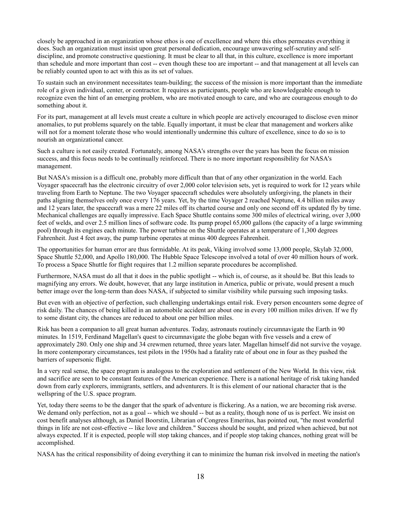closely be approached in an organization whose ethos is one of excellence and where this ethos permeates everything it does. Such an organization must insist upon great personal dedication, encourage unwavering self-scrutiny and selfdiscipline, and promote constructive questioning. It must be clear to all that, in this culture, excellence is more important than schedule and more important than cost -- even though these too are important -- and that management at all levels can be reliably counted upon to act with this as its set of values.

To sustain such an environment necessitates team-building; the success of the mission is more important than the immediate role of a given individual, center, or contractor. It requires as participants, people who are knowledgeable enough to recognize even the hint of an emerging problem, who are motivated enough to care, and who are courageous enough to do something about it.

For its part, management at all levels must create a culture in which people are actively encouraged to disclose even minor anomalies, to put problems squarely on the table. Equally important, it must be clear that management and workers alike will not for a moment tolerate those who would intentionally undermine this culture of excellence, since to do so is to nourish an organizational cancer.

Such a culture is not easily created. Fortunately, among NASA's strengths over the years has been the focus on mission success, and this focus needs to be continually reinforced. There is no more important responsibility for NASA's management.

But NASA's mission is a difficult one, probably more difficult than that of any other organization in the world. Each Voyager spacecraft has the electronic circuitry of over 2,000 color television sets, yet is required to work for 12 years while traveling from Earth to Neptune. The two Voyager spacecraft schedules were absolutely unforgiving, the planets in their paths aligning themselves only once every 176 years. Yet, by the time Voyager 2 reached Neptune, 4.4 billion miles away and 12 years later, the spacecraft was a mere 22 miles off its charted course and only one second off its updated fly by time. Mechanical challenges are equally impressive. Each Space Shuttle contains some 300 miles of electrical wiring, over 3,000 feet of welds, and over 2.5 million lines of software code. Its pump propel 65,000 gallons (the capacity of a large swimming pool) through its engines each minute. The power turbine on the Shuttle operates at a temperature of 1,300 degrees Fahrenheit. Just 4 feet away, the pump turbine operates at minus 400 degrees Fahrenheit.

The opportunities for human error are thus formidable. At its peak, Viking involved some 13,000 people, Skylab 32,000, Space Shuttle 52,000, and Apollo 180,000. The Hubble Space Telescope involved a total of over 40 million hours of work. To process a Space Shuttle for flight requires that 1.2 million separate procedures be accomplished.

Furthermore, NASA must do all that it does in the public spotlight -- which is, of course, as it should be. But this leads to magnifying any errors. We doubt, however, that any large institution in America, public or private, would present a much better image over the long-term than does NASA, if subjected to similar visibility while pursuing such imposing tasks.

But even with an objective of perfection, such challenging undertakings entail risk. Every person encounters some degree of risk daily. The chances of being killed in an automobile accident are about one in every 100 million miles driven. If we fly to some distant city, the chances are reduced to about one per billion miles.

Risk has been a companion to aIl great human adventures. Today, astronauts routinely circumnavigate the Earth in 90 minutes. In 1519, Ferdinand Magellan's quest to circumnavigate the globe began with five vessels and a crew of approximately 280. Only one ship and 34 crewmen returned, three years later. Magellan himself did not survive the voyage. In more contemporary circumstances, test pilots in the 1950s had a fatality rate of about one in four as they pushed the barriers of supersonic flight.

In a very real sense, the space program is analogous to the exploration and settlement of the New World. In this view, risk and sacrifice are seen to be constant features of the American experience. There is a national heritage of risk taking handed down from early explorers, immigrants, settlers, and adventurers. It is this element of our national character that is the wellspring of the U.S. space program.

Yet, today there seems to be the danger that the spark of adventure is flickering. As a nation, we are becoming risk averse. We demand only perfection, not as a goal -- which we should -- but as a reality, though none of us is perfect. We insist on cost benefit analyses although, as Daniel Boorstin, Librarian of Congress Emeritus, has pointed out, "the most wonderful things in life are not cost-effective -- like love and children." Success should be sought, and prized when achieved, but not always expected. If it is expected, people will stop taking chances, and if people stop taking chances, nothing great will be accomplished.

NASA has the critical responsibility of doing everything it can to minimize the human risk involved in meeting the nation's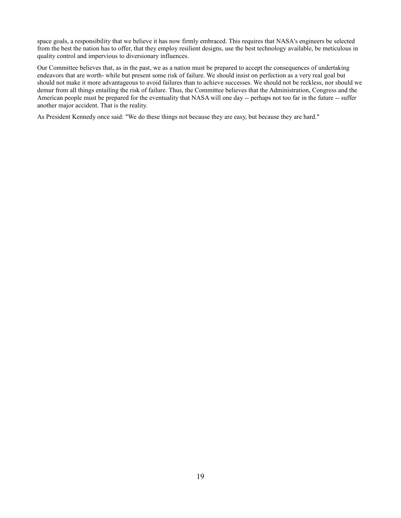space goals, a responsibility that we believe it has now firmly embraced. This requires that NASA's engineers be selected from the best the nation has to offer, that they employ resilient designs, use the best technology available, be meticulous in quality control and impervious to diversionary influences.

Our Committee believes that, as in the past, we as a nation must be prepared to accept the consequences of undertaking endeavors that are worth- while but present some risk of failure. We should insist on perfection as a very real goal but should not make it more advantageous to avoid failures than to achieve successes. We should not be reckless, nor should we demur from all things entailing the risk of failure. Thus, the Committee believes that the Administration, Congress and the American people must be prepared for the eventuality that NASA will one day -- perhaps not too far in the future -- suffer another major accident. That is the reality.

As President Kennedy once said: "We do these things not because they are easy, but because they are hard."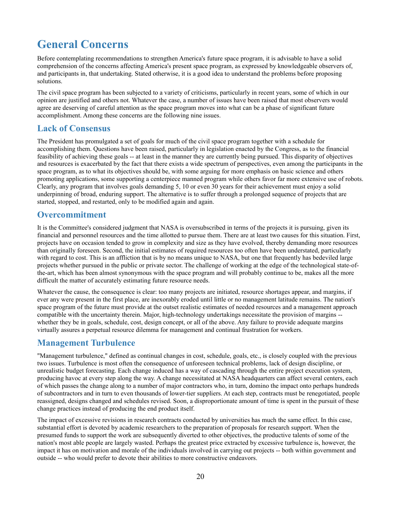## **General Concerns**

Before contemplating recommendations to strengthen America's future space program, it is advisable to have a solid comprehension of the concerns affecting America's present space program, as expressed by knowledgeable observers of, and participants in, that undertaking. Stated otherwise, it is a good idea to understand the problems before proposing solutions.

The civil space program has been subjected to a variety of criticisms, particularly in recent years, some of which in our opinion are justified and others not. Whatever the case, a number of issues have been raised that most observers would agree are deserving of careful attention as the space program moves into what can be a phase of significant future accomplishment. Among these concerns are the following nine issues.

## **Lack of Consensus**

The President has promulgated a set of goals for much of the civil space program together with a schedule for accomplishing them. Questions have been raised, particularly in legislation enacted by the Congress, as to the financial feasibility of achieving these goals -- at least in the manner they are currently being pursued. This disparity of objectives and resources is exacerbated by the fact that there exists a wide spectrum of perspectives, even among the participants in the space program, as to what its objectives should be, with some arguing for more emphasis on basic science and others promoting applications, some supporting a centerpiece manned program while others favor far more extensive use of robots. Clearly, any program that involves goals demanding 5, 10 or even 30 years for their achievement must enjoy a solid underpinning of broad, enduring support. The alternative is to suffer through a prolonged sequence of projects that are started, stopped, and restarted, only to be modified again and again.

## **Overcommitment**

It is the Committee's considered judgment that NASA is oversubscribed in terms of the projects it is pursuing, given its financial and personnel resources and the time allotted to pursue them. There are at least two causes for this situation. First, projects have on occasion tended to grow in complexity and size as they have evolved, thereby demanding more resources than originally foreseen. Second, the initial estimates of required resources too often have been understated, particularly with regard to cost. This is an affliction that is by no means unique to NASA, but one that frequently has bedeviled large projects whether pursued in the public or private sector. The challenge of working at the edge of the technological state-ofthe-art, which has been almost synonymous with the space program and will probably continue to be, makes all the more difficult the matter of accurately estimating future resource needs.

Whatever the cause, the consequence is clear: too many projects are initiated, resource shortages appear, and margins, if ever any were present in the first place, are inexorably eroded until little or no management latitude remains. The nation's space program of the future must provide at the outset realistic estimates of needed resources and a management approach compatible with the uncertainty therein. Major, high-technology undertakings necessitate the provision of margins - whether they be in goals, schedule, cost, design concept, or all of the above. Any failure to provide adequate margins virtually assures a perpetual resource dilemma for management and continual frustration for workers.

## **Management Turbulence**

"Management turbulence," defined as continual changes in cost, schedule, goals, etc., is closely coupled with the previous two issues. Turbulence is most often the consequence of unforeseen technical problems, lack of design discipline, or unrealistic budget forecasting. Each change induced has a way of cascading through the entire project execution system, producing havoc at every step along the way. A change necessitated at NASA headquarters can affect several centers, each of which passes the change along to a number of major contractors who, in turn, domino the impact onto perhaps hundreds of subcontractors and in turn to even thousands of lower-tier suppliers. At each step, contracts must be renegotiated, people reassigned, designs changed and schedules revised. Soon, a disproportionate amount of time is spent in the pursuit of these change practices instead of producing the end product itself.

The impact of excessive revisions in research contracts conducted by universities has much the same effect. In this case, substantial effort is devoted by academic researchers to the preparation of proposals for research support. When the presumed funds to support the work are subsequently diverted to other objectives, the productive talents of some of the nation's most able people are largely wasted. Perhaps the greatest price extracted by excessive turbulence is, however, the impact it has on motivation and morale of the individuals involved in carrying out projects -- both within government and outside -- who would prefer to devote their abilities to more constructive endeavors.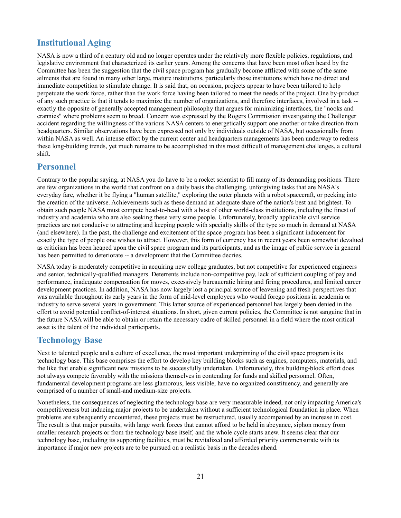## **Institutional Aging**

NASA is now a third of a century old and no longer operates under the relatively more flexible policies, regulations, and legislative environment that characterized its earlier years. Among the concerns that have been most often heard by the Committee has been the suggestion that the civil space program has gradually become afflicted with some of the same ailments that are found in many other large, mature institutions, particularly those institutions which have no direct and immediate competition to stimulate change. It is said that, on occasion, projects appear to have been tailored to help perpetuate the work force, rather than the work force having been tailored to meet the needs of the project. One by-product of any such practice is that it tends to maximize the number of organizations, and therefore interfaces, involved in a task - exactly the opposite of generally accepted management philosophy that argues for minimizing interfaces, the "nooks and crannies" where problems seem to breed. Concern was expressed by the Rogers Commission investigating the Challenger accident regarding the willingness of the various NASA centers to energetically support one another or take direction from headquarters. Similar observations have been expressed not only by individuals outside of NASA, but occasionally from within NASA as well. An intense effort by the current center and headquarters managements has been underway to redress these long-building trends, yet much remains to be accomplished in this most difficult of management challenges, a cultural shift.

## **Personnel**

Contrary to the popular saying, at NASA you do have to be a rocket scientist to fill many of its demanding positions. There are few organizations in the world that confront on a daily basis the challenging, unforgiving tasks that are NASA's everyday fare, whether it be flying a "human satellite," exploring the outer planets with a robot spacecraft, or peeking into the creation of the universe. Achievements such as these demand an adequate share of the nation's best and brightest. To obtain such people NASA must compete head-to-head with a host of other world-class institutions, including the finest of industry and academia who are also seeking these very same people. Unfortunately, broadly applicable civil service practices are not conducive to attracting and keeping people with specialty skills of the type so much in demand at NASA (and elsewhere). In the past, the challenge and excitement of the space program has been a significant inducement for exactly the type of people one wishes to attract. However, this form of currency has in recent years been somewhat devalued as criticism has been heaped upon the civil space program and its participants, and as the image of public service in general has been permitted to deteriorate -- a development that the Committee decries.

NASA today is moderately competitive in acquiring new college graduates, but not competitive for experienced engineers and senior, technically-qualified managers. Deterrents include non-competitive pay, lack of sufficient coupling of pay and performance, inadequate compensation for moves, excessively bureaucratic hiring and firing procedures, and limited career development practices. In addition, NASA has now largely lost a principal source of leavening and fresh perspectives that was available throughout its early years in the form of mid-level employees who would forego positions in academia or industry to serve several years in government. This latter source of experienced personnel has largely been denied in the effort to avoid potential conflict-of-interest situations. In short, given current policies, the Committee is not sanguine that in the future NASA will be able to obtain or retain the necessary cadre of skilled personnel in a field where the most critical asset is the talent of the individual participants.

## **Technology Base**

Next to talented people and a culture of excellence, the most important underpinning of the civil space program is its technology base. This base comprises the effort to develop key building blocks such as engines, computers, materials, and the like that enable significant new missions to be successfully undertaken. Unfortunately, this building-block effort does not always compete favorably with the missions themselves in contending for funds and skilled personnel. Often, fundamental development programs are less glamorous, less visible, have no organized constituency, and generally are comprised of a number of small-and medium-size projects.

Nonetheless, the consequences of neglecting the technology base are very measurable indeed, not only impacting America's competitiveness but inducing major projects to be undertaken without a sufficient technological foundation in place. When problems are subsequently encountered, these projects must be restructured, usually accompanied by an increase in cost. The result is that major pursuits, with large work forces that cannot afford to be held in abeyance, siphon money from smaller research projects or from the technology base itself, and the whole cycle starts anew. It seems clear that our technology base, including its supporting facilities, must be revitalized and afforded priority commensurate with its importance if major new projects are to be pursued on a realistic basis in the decades ahead.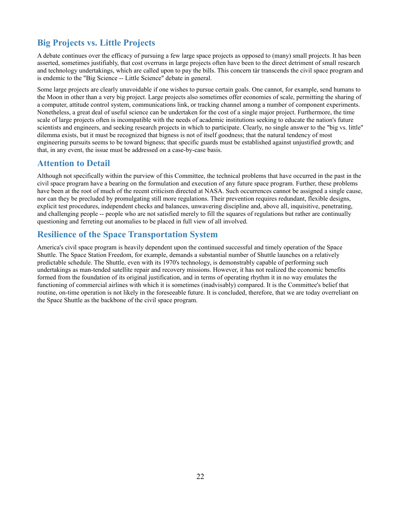## **Big Projects vs. Little Projects**

A debate continues over the efficacy of pursuing a few large space projects as opposed to (many) small projects. It has been asserted, sometimes justifiably, that cost overruns in large projects often have been to the direct detriment of small research and technology undertakings, which are called upon to pay the bills. This concern tàr transcends the civil space program and is endemic to the "Big Science -- Little Science" debate in general.

Some large projects are clearly unavoidable if one wishes to pursue certain goals. One cannot, for example, send humans to the Moon in other than a very big project. Large projects also sometimes offer economies of scale, permitting the sharing of a computer, attitude control system, communications link, or tracking channel among a number of component experiments. Nonetheless, a great deal of useful science can be undertaken for the cost of a single major project. Furthermore, the time scale of large projects often is incompatible with the needs of academic institutions seeking to educate the nation's future scientists and engineers, and seeking research projects in which to participate. Clearly, no single answer to the "big vs. little" dilemma exists, but it must be recognized that bigness is not of itself goodness; that the natural tendency of most engineering pursuits seems to be toward bigness; that specific guards must be established against unjustified growth; and that, in any event, the issue must be addressed on a case-by-case basis.

## **Attention to Detail**

Although not specifically within the purview of this Committee, the technical problems that have occurred in the past in the civil space program have a bearing on the formulation and execution of any future space program. Further, these problems have been at the root of much of the recent criticism directed at NASA. Such occurrences cannot be assigned a single cause, nor can they be precluded by promulgating still more regulations. Their prevention requires redundant, flexible designs, explicit test procedures, independent checks and balances, unwavering discipline and, above all, inquisitive, penetrating, and challenging people -- people who are not satisfied merely to fill the squares of regulations but rather are continually questioning and ferreting out anomalies to be placed in full view of all involved.

## **Resilience of the Space Transportation System**

America's civil space program is heavily dependent upon the continued successful and timely operation of the Space Shuttle. The Space Station Freedom, for example, demands a substantial number of Shuttle launches on a relatively predictable schedule. The Shuttle, even with its 1970's technology, is demonstrably capable of performing such undertakings as man-tended satellite repair and recovery missions. However, it has not realized the economic benefits formed from the foundation of its original justification, and in terms of operating rhythm it in no way emulates the functioning of commercial airlines with which it is sometimes (inadvisably) compared. It is the Committee's belief that routine, on-time operation is not likely in the foreseeable future. It is concluded, therefore, that we are today overreliant on the Space Shuttle as the backbone of the civil space program.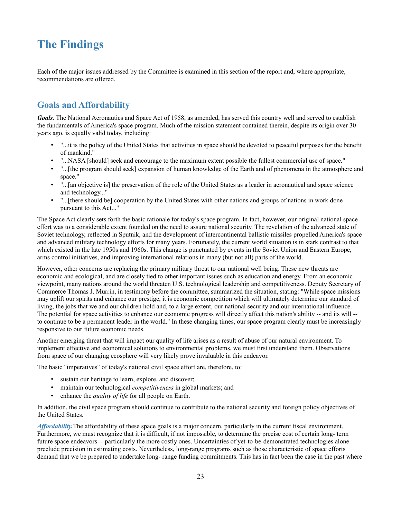## **The Findings**

Each of the major issues addressed by the Committee is examined in this section of the report and, where appropriate, recommendations are offered.

## **Goals and Affordability**

*Goals.* The National Aeronautics and Space Act of 1958, as amended, has served this country well and served to establish the fundamentals of America's space program. Much of the mission statement contained therein, despite its origin over 30 years ago, is equally valid today, including:

- "...it is the policy of the United States that activities in space should be devoted to peaceful purposes for the benefit of mankind."
- "...NASA [should] seek and encourage to the maximum extent possible the fullest commercial use of space."
- "...[the program should seek] expansion of human knowledge of the Earth and of phenomena in the atmosphere and space."
- "...[an objective is] the preservation of the role of the United States as a leader in aeronautical and space science and technology..."
- "...[there should be] cooperation by the United States with other nations and groups of nations in work done pursuant to this Act..."

The Space Act clearly sets forth the basic rationale for today's space program. In fact, however, our original national space effort was to a considerable extent founded on the need to assure national security. The revelation of the advanced state of Soviet technology, reflected in Sputnik, and the development of intercontinental ballistic missiles propelled America's space and advanced military technology efforts for many years. Fortunately, the current world situation is in stark contrast to that which existed in the late 1950s and 1960s. This change is punctuated by events in the Soviet Union and Eastern Europe, arms control initiatives, and improving international relations in many (but not all) parts of the world.

However, other concerns are replacing the primary military threat to our national well being. These new threats are economic and ecological, and are closely tied to other important issues such as education and energy. From an economic viewpoint, many nations around the world threaten U.S. technological leadership and competitiveness. Deputy Secretary of Commerce Thomas J. Murrin, in testimony before the committee, summarized the situation, stating: "While space missions may uplift our spirits and enhance our prestige, it is economic competition which will ultimately determine our standard of living, the jobs that we and our children hold and, to a large extent, our national security and our international influence. The potential for space activities to enhance our economic progress will directly affect this nation's ability -- and its will - to continue to be a permanent leader in the world." In these changing times, our space program clearly must be increasingly responsive to our future economic needs.

Another emerging threat that will impact our quality of life arises as a result of abuse of our natural environment. To implement effective and economical solutions to environmental problems, we must first understand them. Observations from space of our changing ecosphere will very likely prove invaluable in this endeavor.

The basic "imperatives" of today's national civil space effort are, therefore, to:

- sustain our heritage to learn, explore, and discover;
- maintain our technological *competitiveness* in global markets; and
- enhance the *quality of life* for all people on Earth.

In addition, the civil space program should continue to contribute to the national security and foreign policy objectives of the United States.

*Affordability.*The affordability of these space goals is a major concern, particularly in the current fiscal environment. Furthermore, we must recognize that it is difficult, if not impossible, to determine the precise cost of certain long- term future space endeavors -- particularly the more costly ones. Uncertainties of yet-to-be-demonstrated technologies alone preclude precision in estimating costs. Nevertheless, long-range programs such as those characteristic of space efforts demand that we be prepared to undertake long- range funding commitments. This has in fact been the case in the past where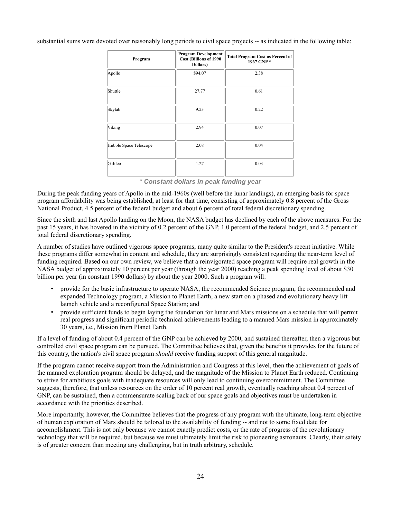substantial sums were devoted over reasonably long periods to civil space projects -- as indicated in the following table:

| Program                | <b>Program Development</b><br><b>Cost (Billions of 1990)</b><br>Dollars) | <b>Total Program Cost as Percent of</b><br>1967 GNP* |
|------------------------|--------------------------------------------------------------------------|------------------------------------------------------|
| Apollo                 | \$94.07                                                                  | 2.38                                                 |
| Shuttle                | 27.77                                                                    | 0.61                                                 |
| Skylab                 | 9.23                                                                     | 0.22                                                 |
| Viking                 | 2.94                                                                     | 0.07                                                 |
| Hubble Space Telescope | 2.08                                                                     | 0.04                                                 |
| Galileo                | 1.27                                                                     | 0.03                                                 |

*\* Constant dollars in peak funding year*

During the peak funding years of Apollo in the mid-1960s (well before the lunar landings), an emerging basis for space program affordability was being established, at least for that time, consisting of approximately 0.8 percent of the Gross National Product, 4.5 percent of the federal budget and about 6 percent of total federal discretionary spending.

Since the sixth and last Apollo landing on the Moon, the NASA budget has declined by each of the above measures. For the past 15 years, it has hovered in the vicinity of 0.2 percent of the GNP, 1.0 percent of the federal budget, and 2.5 percent of total federal discretionary spending.

A number of studies have outlined vigorous space programs, many quite similar to the President's recent initiative. While these programs differ somewhat in content and schedule, they are surprisingly consistent regarding the near-term level of funding required. Based on our own review, we believe that a reinvigorated space program will require real growth in the NASA budget of approximately 10 percent per year (through the year 2000) reaching a peak spending level of about \$30 billion per year (in constant 1990 dollars) by about the year 2000. Such a program will:

- provide for the basic infrastructure to operate NASA, the recommended Science program, the recommended and expanded Technology program, a Mission to Planet Earth, a new start on a phased and evolutionary heavy lift launch vehicle and a reconfigured Space Station; and
- provide sufficient funds to begin laying the foundation for lunar and Mars missions on a schedule that will permit real progress and significant periodic technical achievements leading to a manned Mars mission in approximately 30 years, i.e., Mission from Planet Earth.

If a level of funding of about 0.4 percent of the GNP can be achieved by 2000, and sustained thereafter, then a vigorous but controlled civil space program can be pursued. The Committee believes that, given the benefits it provides for the future of this country, the nation's civil space program *should* receive funding support of this general magnitude.

If the program cannot receive support from the Administration and Congress at this level, then the achievement of goals of the manned exploration program should be delayed, and the magnitude of the Mission to Planet Earth reduced. Continuing to strive for ambitious goals with inadequate resources will only lead to continuing overcommitment. The Committee suggests, therefore, that unless resources on the order of 10 percent real growth, eventually reaching about 0.4 percent of GNP, can be sustained, then a commensurate scaling back of our space goals and objectives must be undertaken in accordance with the priorities described.

More importantly, however, the Committee believes that the progress of any program with the ultimate, long-term objective of human exploration of Mars should be tailored to the availability of funding -- and not to some fixed date for accomplishment. This is not only because we cannot exactly predict costs, or the rate of progress of the revolutionary technology that will be required, but because we must ultimately limit the risk to pioneering astronauts. Clearly, their safety is of greater concern than meeting any challenging, but in truth arbitrary, schedule.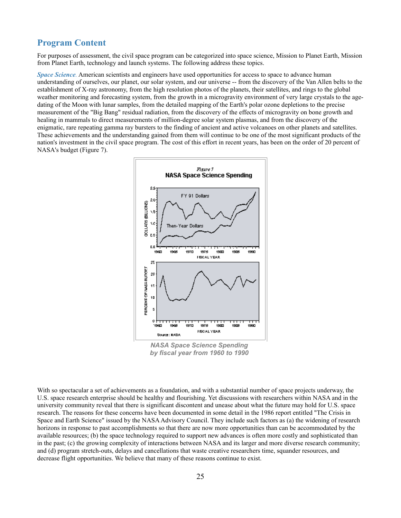## **Program Content**

For purposes of assessment, the civil space program can be categorized into space science, Mission to Planet Earth, Mission from Planet Earth, technology and launch systems. The following address these topics.

*Space Science.* American scientists and engineers have used opportunities for access to space to advance human understanding of ourselves, our planet, our solar system, and our universe -- from the discovery of the Van Allen belts to the establishment of X-ray astronomy, from the high resolution photos of the planets, their satellites, and rings to the global weather monitoring and forecasting system, from the growth in a microgravity environment of very large crystals to the agedating of the Moon with lunar samples, from the detailed mapping of the Earth's polar ozone depletions to the precise measurement of the "Big Bang" residual radiation, from the discovery of the effects of microgravity on bone growth and healing in mammals to direct measurements of million-degree solar system plasmas, and from the discovery of the enigmatic, rare repeating gamma ray bursters to the finding of ancient and active volcanoes on other planets and satellites. These achievements and the understanding gained from them will continue to be one of the most significant products of the nation's investment in the civil space program. The cost of this effort in recent years, has been on the order of 20 percent of NASA's budget (Figure 7).



*NASA Space Science Spending by fiscal year from 1960 to 1990* 

With so spectacular a set of achievements as a foundation, and with a substantial number of space projects underway, the U.S. space research enterprise should be healthy and flourishing. Yet discussions with researchers within NASA and in the university community reveal that there is significant discontent and unease about what the future may hold for U.S. space research. The reasons for these concerns have been documented in some detail in the 1986 report entitled "The Crisis in Space and Earth Science" issued by the NASA Advisory Council. They include such factors as (a) the widening of research horizons in response to past accomplishments so that there are now more opportunities than can be accommodated by the available resources; (b) the space technology required to support new advances is often more costly and sophisticated than in the past; (c) the growing complexity of interactions between NASA and its larger and more diverse research community; and (d) program stretch-outs, delays and cancellations that waste creative researchers time, squander resources, and decrease flight opportunities. We believe that many of these reasons continue to exist.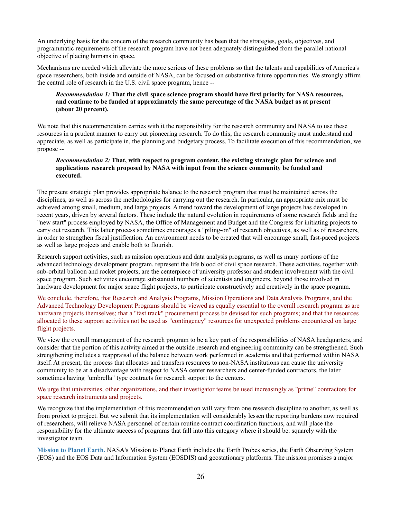An underlying basis for the concern of the research community has been that the strategies, goals, objectives, and programmatic requirements of the research program have not been adequately distinguished from the parallel national objective of placing humans in space.

Mechanisms are needed which alleviate the more serious of these problems so that the talents and capabilities of America's space researchers, both inside and outside of NASA, can be focused on substantive future opportunities. We strongly affirm the central role of research in the U.S. civil space program, hence --

#### *Recommendation 1:* **That the civil space science program should have first priority for NASA resources, and continue to be funded at approximately the same percentage of the NASA budget as at present (about 20 percent).**

We note that this recommendation carries with it the responsibility for the research community and NASA to use these resources in a prudent manner to carry out pioneering research. To do this, the research community must understand and appreciate, as well as participate in, the planning and budgetary process. To facilitate execution of this recommendation, we propose --

#### *Recommendation 2:* **That, with respect to program content, the existing strategic plan for science and applications research proposed by NASA with input from the science community be funded and executed.**

The present strategic plan provides appropriate balance to the research program that must be maintained across the disciplines, as well as across the methodologies for carrying out the research. In particular, an appropriate mix must be achieved among small, medium, and large projects. A trend toward the development of large projects has developed in recent years, driven by several factors. These include the natural evolution in requirements of some research fields and the "new start" process employed by NASA, the Office of Management and Budget and the Congress for initiating projects to carry out research. This latter process sometimes encourages a "piling-on" of research objectives, as well as of researchers, in order to strengthen fiscal justification. An environment needs to be created that will encourage small, fast-paced projects as well as large projects and enable both to flourish.

Research support activities, such as mission operations and data analysis programs, as well as many portions of the advanced technology development program, represent the life blood of civil space research. These activities, together with sub-orbital balloon and rocket projects, are the centerpiece of university professor and student involvement with the civil space program. Such activities encourage substantial numbers of scientists and engineers, beyond those involved in hardware development for major space flight projects, to participate constructively and creatively in the space program.

We conclude, therefore, that Research and Analysis Programs, Mission Operations and Data Analysis Programs, and the Advanced Technology Development Programs should be viewed as equally essential to the overall research program as are hardware projects themselves; that a "fast track" procurement process be devised for such programs; and that the resources allocated to these support activities not be used as "contingency" resources for unexpected problems encountered on large flight projects.

We view the overall management of the research program to be a key part of the responsibilities of NASA headquarters, and consider that the portion of this activity aimed at the outside research and engineering community can be strengthened. Such strengthening includes a reappraisal of the balance between work performed in academia and that performed within NASA itself. At present, the process that allocates and transfers resources to non-NASA institutions can cause the university community to be at a disadvantage with respect to NASA center researchers and center-funded contractors, the later sometimes having "umbrella" type contracts for research support to the centers.

We urge that universities, other organizations, and their investigator teams be used increasingly as "prime" contractors for space research instruments and projects.

We recognize that the implementation of this recommendation will vary from one research discipline to another, as well as from project to project. But we submit that its implementation will considerably lessen the reporting burdens now required of researchers, will relieve NASA personnel of certain routine contract coordination functions, and will place the responsibility for the ultimate success of programs that fall into this category where it should be: squarely with the investigator team.

**Mission to Planet Earth.** NASA's Mission to Planet Earth includes the Earth Probes series, the Earth Observing System (EOS) and the EOS Data and Information System (EOSDIS) and geostationary platforms. The mission promises a major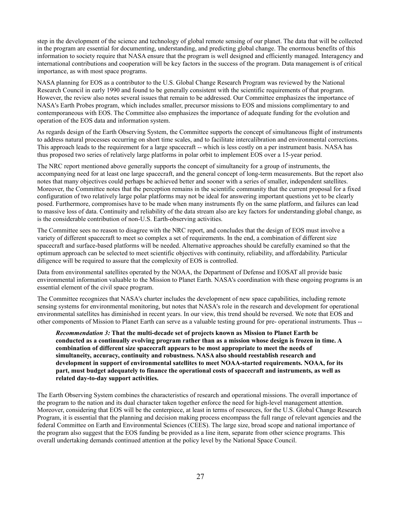step in the development of the science and technology of global remote sensing of our planet. The data that will be collected in the program are essential for documenting, understanding, and predicting global change. The enormous benefits of this information to society require that NASA ensure that the program is well designed and efficiently managed. Interagency and international contributions and cooperation will be key factors in the success of the program. Data management is of critical importance, as with most space programs.

NASA planning for EOS as a contributor to the U.S. Global Change Research Program was reviewed by the National Research Council in early 1990 and found to be generally consistent with the scientific requirements of that program. However, the review also notes several issues that remain to be addressed. Our Committee emphasizes the importance of NASA's Earth Probes program, which includes smaller, precursor missions to EOS and missions complimentary to and contemporaneous with EOS. The Committee also emphasizes the importance of adequate funding for the evolution and operation of the EOS data and information system.

As regards design of the Earth Observing System, the Committee supports the concept of simultaneous flight of instruments to address natural processes occurring on short time scales, and to facilitate intercalibration and environmental corrections. This approach leads to the requirement for a large spacecraft -- which is less costly on a per instrument basis. NASA has thus proposed two series of relatively large platforms in polar orbit to implement EOS over a 15-year period.

The NRC report mentioned above generally supports the concept of simultaneity for a group of instruments, the accompanying need for at least one large spacecraft, and the general concept of long-term measurements. But the report also notes that many objectives could perhaps be achieved better and sooner with a series of smaller, independent satellites. Moreover, the Committee notes that the perception remains in the scientific community that the current proposal for a fixed configuration of two relatively large polar platforms may not be ideal for answering important questions yet to be clearly posed. Furthermore, compromises have to be made when many instruments fly on the same platform, and failures can lead to massive loss of data. Continuity and reliability of the data stream also are key factors for understanding global change, as is the considerable contribution of non-U.S. Earth-observing activities.

The Committee sees no reason to disagree with the NRC report, and concludes that the design of EOS must involve a variety of different spacecraft to meet so complex a set of requirements. In the end, a combination of different size spacecraft and surface-based platforms will be needed. Alternative approaches should be carefully examined so that the optimum approach can be selected to meet scientific objectives with continuity, reliability, and affordability. Particular diligence will be required to assure that the complexity of EOS is controlled.

Data from environmental satellites operated by the NOAA, the Department of Defense and EOSAT all provide basic environmental information valuable to the Mission to Planet Earth. NASA's coordination with these ongoing programs is an essential element of the civil space program.

The Committee recognizes that NASA's charter includes the development of new space capabilities, including remote sensing systems for environmental monitoring, but notes that NASA's role in the research and development for operational environmental satellites has diminished in recent years. In our view, this trend should be reversed. We note that EOS and other components of Mission to Planet Earth can serve as a valuable testing ground for pre- operational instruments. Thus --

*Recommendation 3:* **That the multi-decade set of projects known as Mission to Planet Earth be conducted as a continually evolving program rather than as a mission whose design is frozen in time. A combination of different size spacecraft appears to be most appropriate to meet the needs of simultaneity, accuracy, continuity and robustness. NASA also should reestablish research and development in support of environmental satellites to meet NOAA-started requirements. NOAA, for its part, must budget adequately to finance the operational costs of spacecraft and instruments, as well as related day-to-day support activities.**

The Earth Observing System combines the characteristics of research and operational missions. The overall importance of the program to the nation and its dual character taken together enforce the need for high-level management attention. Moreover, considering that EOS will be the centerpiece, at least in terms of resources, for the U.S. Global Change Research Program, it is essential that the planning and decision making process encompass the full range of relevant agencies and the federal Committee on Earth and Environmental Sciences (CEES). The large size, broad scope and national importance of the program also suggest that the EOS funding be provided as a line item, separate from other science programs. This overall undertaking demands continued attention at the policy level by the National Space Council.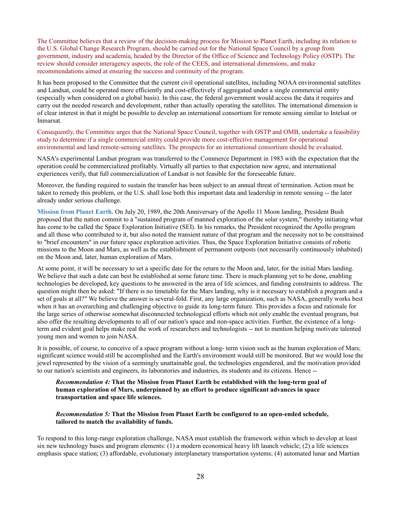The Committee believes that a review of the decision-making process for Mission to Planet Earth, including its relation to the U.S. Global Change Research Program, should be carried out for the National Space Council by a group from government, industry and academia, headed by the Director of the Office of Science and Technology Policy (OSTP). The review should consider interagency aspects, the role of the CEES, and international dimensions, and make recommendations aimed at ensuring the success and continuity of the program.

It has been proposed to the Committee that the current civil operational satellites, including NOAA environmental satellites and Landsat, could be operated more efficiently and cost-effectively if aggregated under a single commercial entity (especially when considered on a global basis). In this case, the federal government would access the data it requires and carry out the needed research and development, rather than actually operating the satellites. The international dimension is of clear interest in that it might be possible to develop an international consortium for remote sensing similar to Intelsat or Inmarsat.

Consequently, the Committee urges that the National Space Council, together with OSTP and OMB, undertake a feasibility study to determine if a single commercial entity could provide more cost-effective management for operational environmental and land remote-sensing satellites. The prospects for an international consortium should be evaluated.

NASA's experimental Landsat program was transferred to the Commerce Department in 1983 with the expectation that the operation could be commercialized profitably. Virtually all parties to that expectation now agree, and international experiences verify, that full commercialization of Landsat is not feasible for the foreseeable future.

Moreover, the funding required to sustain the transfer has been subject to an annual threat of termination. Action must be taken to remedy this problem, or the U.S. shall lose both this important data and leadership in remote sensing -- the later already under serious challenge.

**Mission from Planet Earth.** On July 20, 1989, the 20th Anniversary of the Apollo 11 Moon landing, President Bush proposed that the nation commit to a "sustained program of manned exploration of the solar system," thereby initiating what has come to be called the Space Exploration Initiative (SEI). In his remarks, the President recognized the Apollo program and all those who contributed to it, but also noted the transient nature of that program and the necessity not to be constrained to "brief encounters" in our future space exploration activities. Thus, the Space Exploration Initiative consists of robotic missions to the Moon and Mars, as well as the establishment of permanent outposts (not necessarily continuously inhabited) on the Moon and, later, human exploration of Mars.

At some point, it will be necessary to set a specific date for the return to the Moon and, later, for the initial Mars landing. We believe that such a date can best be established at some future time. There is much planning yet to be done, enabling technologies be developed, key questions to be answered in the area of life sciences, and funding constraints to address. The question might then be asked: "If there is no timetable for the Mars landing, why is it necessary to establish a program and a set of goals at all?" We believe the answer is several-fold. First, any large organization, such as NASA, generally works best when it has an overarching and challenging objective to guide its long-term future. This provides a focus and rationale for the large series of otherwise somewhat disconnected technological efforts which not only enable the eventual program, but also offer the resulting developments to all of our nation's space and non-space activities. Further, the existence of a longterm and evident goal helps make real the work of researchers and technologists -- not to mention helping motivate talented young men and women to join NASA.

It is possible, of course, to conceive of a space program without a long- term vision such as the human exploration of Mars; significant science would still be accomplished and the Earth's environment would still be monitored. But we would lose the jewel represented by the vision of a seemingly unattainable goal, the technologies engendered, and the motivation provided to our nation's scientists and engineers, its laboratories and industries, its students and its citizens. Hence --

*Recommendation 4:* **That the Mission from Planet Earth be established with the long-term goal of human exploration of Mars, underpinned by an effort to produce significant advances in space transportation and space life sciences.**

*Recommendation 5:* **That the Mission from Planet Earth be configured to an open-ended schedule, tailored to match the availability of funds.**

To respond to this long-range exploration challenge, NASA must establish the framework within which to develop at least six new technology bases and program elements: (1) a modern economical heavy lift launch vehicle; (2) a life sciences emphasis space station; (3) affordable, evolutionary interplanetary transportation systems; (4) automated lunar and Martian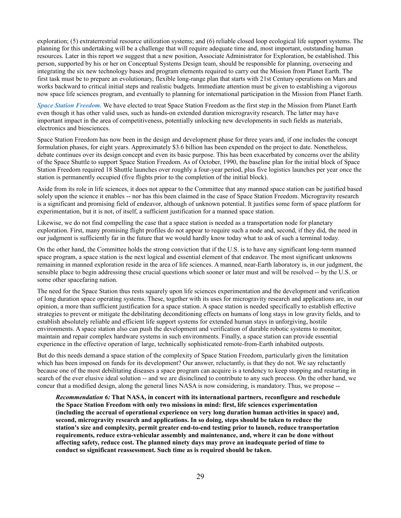exploration; (5) extraterrestrial resource utilization systems; and (6) reliable closed loop ecological life support systems. The planning for this undertaking will be a challenge that will require adequate time and, most important, outstanding human resources. Later in this report we suggest that a new position, Associate Administrator for Exploration, be established. This person, supported by his or her on Conceptual Systems Design team, should be responsible for planning, overseeing and integrating the six new technology bases and program elements required to carry out the Mission from Planet Earth. The first task must be to prepare an evolutionary, flexible long-range plan that starts with 21st Century operations on Mars and works backward to critical initial steps and realistic budgets. Immediate attention must be given to establishing a vigorous now space life sciences program, and eventually to planning for international participation in the Mission from Planet Earth.

*Space Station Freedom.* We have elected to treat Space Station Freedom as the first step in the Mission from Planet Earth even though it has other valid uses, such as hands-on extended duration microgravity research. The latter may have important impact in the area of competitiveness, potentially unlocking new developments in such fields as materials, electronics and biosciences.

Space Station Freedom has now been in the design and development phase for three years and, if one includes the concept formulation phases, for eight years. Approximately \$3.6 billion has been expended on the project to date. Nonetheless, debate continues over its design concept and even its basic purpose. This has been exacerbated by concerns over the ability of the Space Shuttle to support Space Station Freedom. As of October, 1990, the baseline plan for the initial block of Space Station Freedom required 18 Shuttle launches over roughly a four-year period, plus five logistics launches per year once the station is permanently occupied (five flights prior to the completion of the initial block).

Aside from its role in life sciences, it does not appear to the Committee that any manned space station can be justified based solely upon the science it enables -- nor has this been claimed in the case of Space Station Freedom. Microgravity research is a significant and promising field of endeavor, although of unknown potential. It justifies some form of space platform for experimentation, but it is not, of itself, a sufficient justification for a manned space station.

Likewise, we do not find compelling the case that a space station is needed as a transportation node for planetary exploration. First, many promising flight profiles do not appear to require such a node and, second, if they did, the need in our judgment is sufficiently far in the future that we would hardly know today what to ask of such a terminal today.

On the other hand, the Committee holds the strong conviction that if the U.S. is to have any significant long-term manned space program, a space station is the next logical and essential element of that endeavor. The most significant unknowns remaining in manned exploration reside in the area of life sciences. A manned, near-Earth laboratory is, in our judgment, the sensible place to begin addressing these crucial questions which sooner or later must and will be resolved -- by the U.S. or some other spacefaring nation.

The need for the Space Station thus rests squarely upon life sciences experimentation and the development and verification of long duration space operating systems. These, together with its uses for microgravity research and applications are, in our opinion, a more than sufficient justification for a space station. A space station is needed specifically to establish effective strategies to prevent or mitigate the debilitating deconditioning effects on humans of long stays in low gravity fields, and to establish absolutely reliable and efficient life support systems for extended human stays in unforgiving, hostile environments. A space station also can push the development and verification of durable robotic systems to monitor, maintain and repair complex hardware systems in such environments. Finally, a space station can provide essential experience in the effective operation of large, technically sophisticated remote-from-Earth inhabited outposts.

But do this needs demand a space station of the complexity of Space Station Freedom, particularly given the limitation which has been imposed on funds for its development? Our answer, reluctantly, is that they do not. We say reluctantly because one of the most debilitating diseases a space program can acquire is a tendency to keep stopping and restarting in search of the ever elusive ideal solution -- and we are disinclined to contribute to any such process. On the other hand, we concur that a modified design, along the general lines NASA is now considering, is mandatory. Thus, we propose --

*Recommendation 6:* **That NASA, in concert with its international partners, reconfigure and reschedule the Space Station Freedom with only two missions in mind: first, life sciences experimentation (including the accrual of operational experience on very long duration human activities in space) and, second, microgravity research and applications. In so doing, steps should be taken to reduce the station's size and complexity, permit greater end-to-end testing prior to launch, reduce transportation requirements, reduce extra-vehicular assembly and maintenance, and, where it can be done without affecting safety, reduce cost. The planned ninety days may prove an inadequate period of time to conduct so significant reassessment. Such time as is required should be taken.**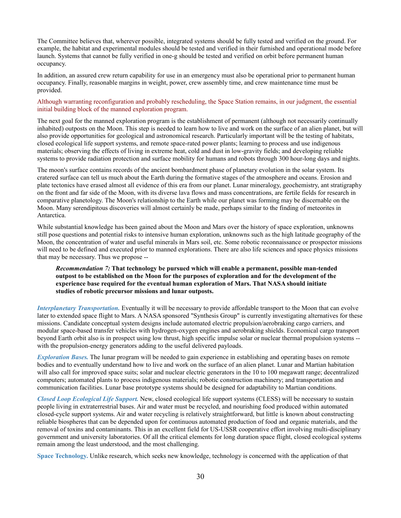The Committee believes that, wherever possible, integrated systems should be fully tested and verified on the ground. For example, the habitat and experimental modules should be tested and verified in their furnished and operational mode before launch. Systems that cannot be fully verified in one-g should be tested and verified on orbit before permanent human occupancy.

In addition, an assured crew return capability for use in an emergency must also be operational prior to permanent human occupancy. Finally, reasonable margins in weight, power, crew assembly time, and crew maintenance time must be provided.

#### Although warranting reconfiguration and probably rescheduling, the Space Station remains, in our judgment, the essential initial building block of the manned exploration program.

The next goal for the manned exploration program is the establishment of permanent (although not necessarily continually inhabited) outposts on the Moon. This step is needed to learn how to live and work on the surface of an alien planet, but will also provide opportunities for geological and astronomical research. Particularly important will be the testing of habitats, closed ecological life support systems, and remote space-rated power plants; learning to process and use indigenous materials; observing the effects of living in extreme heat, cold and dust in low-gravity fields; and developing reliable systems to provide radiation protection and surface mobility for humans and robots through 300 hour-long days and nights.

The moon's surface contains records of the ancient bombardment phase of planetary evolution in the solar system. Its cratered surface can tell us much about the Earth during the formative stages of the atmosphere and oceans. Erosion and plate tectonics have erased almost all evidence of this era from our planet. Lunar mineralogy, geochemistry, ant stratigraphy on the front and far side of the Moon, with its diverse lava flows and mass concentrations, are fertile fields for research in comparative planetology. The Moon's relationship to the Earth while our planet was forming may be discernable on the Moon. Many serendipitous discoveries will almost certainly be made, perhaps similar to the finding of meteorites in Antarctica.

While substantial knowledge has been gained about the Moon and Mars over the history of space exploration, unknowns still pose questions and potential risks to intensive human exploration, unknowns such as the high latitude geography of the Moon, the concentration of water and useful minerals in Mars soil, etc. Some robotic reconnaissance or prospector missions will need to be defined and executed prior to manned explorations. There are also life sciences and space physics missions that may be necessary. Thus we propose --

#### *Recommendation 7:* **That technology be pursued which will enable a permanent, possible man-tended outpost to be established on the Moon for the purposes of exploration and for the development of the experience base required for the eventual human exploration of Mars. That NASA should initiate studies of robotic precursor missions and lunar outposts.**

*Interplanetary Transportation.* Eventually it will be necessary to provide affordable transport to the Moon that can evolve later to extended space flight to Mars. A NASA sponsored "Synthesis Group" is currently investigating alternatives for these missions. Candidate conceptual system designs include automated electric propulsion/aerobraking cargo carriers, and modular space-based transfer vehicles with hydrogen-oxygen engines and aerobraking shields. Economical cargo transport beyond Earth orbit also is in prospect using low thrust, high specific impulse solar or nuclear thermal propulsion systems - with the propulsion-energy generators adding to the useful delivered payloads.

*Exploration Bases.* The lunar program will be needed to gain experience in establishing and operating bases on remote bodies and to eventually understand how to live and work on the surface of an alien planet. Lunar and Martian habitation will also call for improved space suits; solar and nuclear electric generators in the 10 to 100 megawatt range; decentralized computers; automated plants to process indigenous materials; robotic construction machinery; and transportation and communication facilities. Lunar base prototype systems should be designed for adaptability to Martian conditions.

*Closed Loop Ecological Life Support.* New, closed ecological life support systems (CLESS) will be necessary to sustain people living in extraterrestrial bases. Air and water must be recycled, and nourishing food produced within automated closed-cycle support systems. Air and water recycling is relatively straightforward, but little is known about constructing reliable biospheres that can be depended upon for continuous automated production of food and organic materials, and the removal of toxins and contaminants. This in an excellent field for US-USSR cooperative effort involving multi-disciplinary government and university laboratories. Of all the critical elements for long duration space flight, closed ecological systems remain among the least understood, and the most challenging.

**Space Technology.** Unlike research, which seeks new knowledge, technology is concerned with the application of that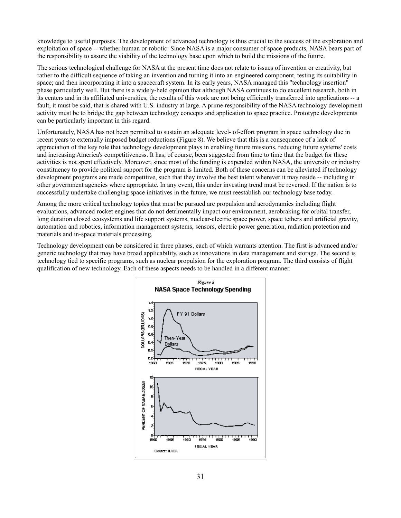knowledge to useful purposes. The development of advanced technology is thus crucial to the success of the exploration and exploitation of space -- whether human or robotic. Since NASA is a major consumer of space products, NASA bears part of the responsibility to assure the viability of the technology base upon which to build the missions of the future.

The serious technological challenge for NASA at the present time does not relate to issues of invention or creativity, but rather to the difficult sequence of taking an invention and turning it into an engineered component, testing its suitability in space; and then incorporating it into a spacecraft system. In its early years, NASA managed this "technology insertion" phase particularly well. But there is a widely-held opinion that although NASA continues to do excellent research, both in its centers and in its affiliated universities, the results of this work are not being efficiently transferred into applications -- a fault, it must be said, that is shared with U.S. industry at large. A prime responsibility of the NASA technology development activity must be to bridge the gap between technology concepts and application to space practice. Prototype developments can be particularly important in this regard.

Unfortunately, NASA has not been permitted to sustain an adequate level- of-effort program in space technology due in recent years to externally imposed budget reductions (Figure 8). We believe that this is a consequence of a lack of appreciation of the key role that technology development plays in enabling future missions, reducing future systems' costs and increasing America's competitiveness. It has, of course, been suggested from time to time that the budget for these activities is not spent effectively. Moreover, since most of the funding is expended within NASA, the university or industry constituency to provide political support for the program is limited. Both of these concerns can be alleviated if technology development programs are made competitive, such that they involve the best talent wherever it may reside -- including in other government agencies where appropriate. In any event, this under investing trend must be reversed. If the nation is to successfully undertake challenging space initiatives in the future, we must reestablish our technology base today.

Among the more critical technology topics that must be pursued are propulsion and aerodynamics including flight evaluations, advanced rocket engines that do not detrimentally impact our environment, aerobraking for orbital transfer, long duration closed ecosystems and life support systems, nuclear-electric space power, space tethers and artificial gravity, automation and robotics, information management systems, sensors, electric power generation, radiation protection and materials and in-space materials processing.

Technology development can be considered in three phases, each of which warrants attention. The first is advanced and/or generic technology that may have broad applicability, such as innovations in data management and storage. The second is technology tied to specific programs, such as nuclear propulsion for the exploration program. The third consists of flight qualification of new technology. Each of these aspects needs to be handled in a different manner.

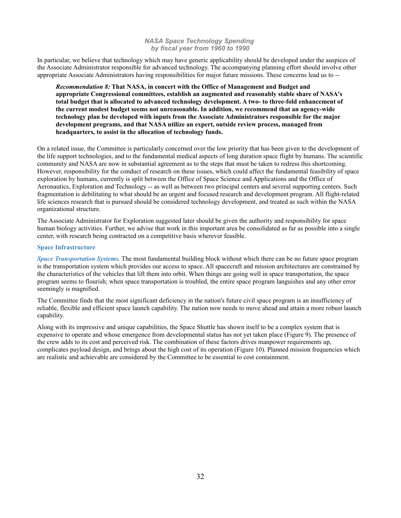#### *NASA Space Technology Spending by fiscal year from 1960 to 1990*

In particular, we believe that technology which may have generic applicability should be developed under the auspices of the Associate Administrator responsible for advanced technology. The accompanying planning effort should involve other appropriate Associate Administrators having responsibilities for major future missions. These concerns lead us to --

*Recommendation 8:* **That NASA, in concert with the Office of Management and Budget and appropriate Congressional committees, establish an augmented and reasonably stable share of NASA's total budget that is allocated to advanced technology development. A two- to three-fold enhancement of the current modest budget seems not unreasonable. In addition, we recommend that an agency-wide technology plan be developed with inputs from the Associate Administrators responsible for the major development programs, and that NASA utilize an expert, outside review process, managed from headquarters, to assist in the allocation of technology funds.**

On a related issue, the Committee is particularly concerned over the low priority that has been given to the development of the life support technologies, and to the fundamental medical aspects of long duration space flight by humans. The scientific community and NASA are now in substantial agreement as to the steps that must be taken to redress this shortcoming. However, responsibility for the conduct of research on these issues, which could affect the fundamental feasibility of space exploration by humans, currently is split between the Office of Space Science and Applications and the Office of Aeronautics, Exploration and Technology -- as well as between two principal centers and several supporting centers. Such fragmentation is debilitating to what should be an urgent and focused research and development program. All flight-related life sciences research that is pursued should be considered technology development, and treated as such within the NASA organizational structure.

The Associate Administrator for Exploration suggested later should be given the authority and responsibility for space human biology activities. Further, we advise that work in this important area be consolidated as far as possible into a single center, with research being contracted on a competitive basis wherever feasible.

#### **Space Infrastructure**

*Space Transportation Systems.* The most fundamental building block without which there can be no future space program is the transportation system which provides our access to space. All spacecraft and mission architectures are constrained by the characteristics of the vehicles that lift them into orbit. When things are going well in space transportation, the space program seems to flourish; when space transportation is troubled, the entire space program languishes and any other error seemingly is magnified.

The Committee finds that the most significant deficiency in the nation's future civil space program is an insufficiency of reliable, flexible and efficient space launch capability. The nation now needs to move ahead and attain a more robust launch capability.

Along with its impressive and unique capabilities, the Space Shuttle has shown itself to be a complex system that is expensive to operate and whose emergence from developmental status has not yet taken place (Figure 9). The presence of the crew adds to its cost and perceived risk. The combination of these factors drives manpower requirements up, complicates payload design, and brings about the high cost of its operation (Figure 10). Planned mission frequencies which are realistic and achievable are considered by the Committee to be essential to cost containment.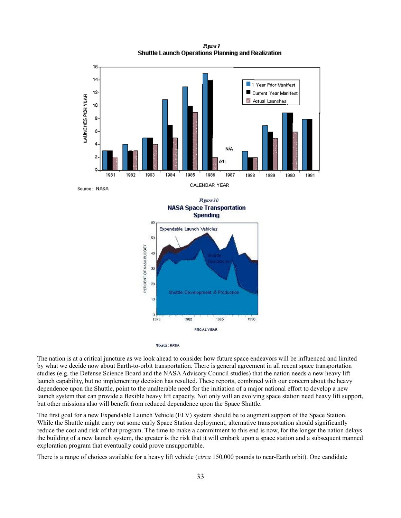Figure 9 **Shuttle Launch Operations Planning and Realization** 



Source: NASA

Figure 10 **NASA Space Transportation** 





Source: NASA

The nation is at a critical juncture as we look ahead to consider how future space endeavors will be influenced and limited by what we decide now about Earth-to-orbit transportation. There is general agreement in all recent space transportation studies (e.g. the Defense Science Board and the NASA Advisory Council studies) that the nation needs a new heavy lift launch capability, but no implementing decision has resulted. These reports, combined with our concern about the heavy dependence upon the Shuttle, point to the unalterable need for the initiation of a major national effort to develop a new launch system that can provide a flexible heavy lift capacity. Not only will an evolving space station need heavy lift support, but other missions also will benefit from reduced dependence upon the Space Shuttle.

The first goal for a new Expendable Launch Vehicle (ELV) system should be to augment support of the Space Station. While the Shuttle might carry out some early Space Station deployment, alternative transportation should significantly reduce the cost and risk of that program. The time to make a commitment to this end is now, for the longer the nation delays the building of a new launch system, the greater is the risk that it will embark upon a space station and a subsequent manned exploration program that eventually could prove unsupportable.

There is a range of choices available for a heavy lift vehicle (*circa* 150,000 pounds to near-Earth orbit). One candidate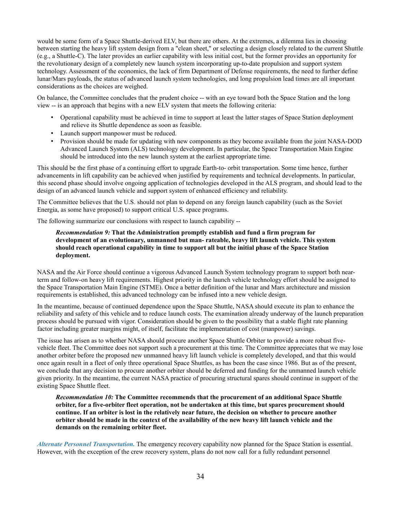would be some form of a Space Shuttle-derived ELV, but there are others. At the extremes, a dilemma lies in choosing between starting the heavy lift system design from a "clean sheet," or selecting a design closely related to the current Shuttle (e.g., a Shuttle-C). The later provides an earlier capability with less initial cost, but the former provides an opportunity for the revolutionary design of a completely new launch system incorporating up-to-date propulsion and support system technology. Assessment of the economics, the lack of firm Department of Defense requirements, the need to further define lunar/Mars payloads, the status of advanced launch system technologies, and long propulsion lead times are all important considerations as the choices are weighed.

On balance, the Committee concludes that the prudent choice -- with an eye toward both the Space Station and the long view -- is an approach that begins with a new ELV system that meets the following criteria:

- Operational capability must be achieved in time to support at least the latter stages of Space Station deployment and relieve its Shuttle dependence as soon as feasible.
- Launch support manpower must be reduced.
- Provision should be made for updating with new components as they become available from the joint NASA-DOD Advanced Launch System (ALS) technology development. In particular, the Space Transportation Main Engine should be introduced into the new launch system at the earliest appropriate time.

This should be the first phase of a continuing effort to upgrade Earth-to- orbit transportation. Some time hence, further advancements in lift capability can be achieved when justified by requirements and technical developments. In particular, this second phase should involve ongoing application of technologies developed in the ALS program, and should lead to the design of an advanced launch vehicle and support system of enhanced efficiency and reliability.

The Committee believes that the U.S. should not plan to depend on any foreign launch capability (such as the Soviet Energia, as some have proposed) to support critical U.S. space programs.

The following summarize our conclusions with respect to launch capability --

*Recommendation 9:* **That the Administration promptly establish and fund a firm program for development of an evolutionary, unmanned but man- rateable, heavy lift launch vehicle. This system should reach operational capability in time to support all but the initial phase of the Space Station deployment.**

NASA and the Air Force should continue a vigorous Advanced Launch System technology program to support both nearterm and follow-on heavy lift requirements. Highest priority in the launch vehicle technology effort should be assigned to the Space Transportation Main Engine (STME). Once a better definition of the lunar and Mars architecture and mission requirements is established, this advanced technology can be infused into a new vehicle design.

In the meantime, because of continued dependence upon the Space Shuttle, NASA should execute its plan to enhance the reliability and safety of this vehicle and to reduce launch costs. The examination already underway of the launch preparation process should be pursued with vigor. Consideration should be given to the possibility that a stable flight rate planning factor including greater margins might, of itself, facilitate the implementation of cost (manpower) savings.

The issue has arisen as to whether NASA should procure another Space Shuttle Orbiter to provide a more robust fivevehicle fleet. The Committee does not support such a procurement at this time. The Committee appreciates that we may lose another orbiter before the proposed new unmanned heavy lift launch vehicle is completely developed, and that this would once again result in a fleet of only three operational Space Shuttles, as has been the case since 1986. But as of the present, we conclude that any decision to procure another orbiter should be deferred and funding for the unmanned launch vehicle given priority. In the meantime, the current NASA practice of procuring structural spares should continue in support of the existing Space Shuttle fleet.

*Recommendation 10:* **The Committee recommends that the procurement of an additional Space Shuttle orbiter, for a five-orbiter fleet operation, not be undertaken at this time, but spares procurement should continue. If an orbiter is lost in the relatively near future, the decision on whether to procure another orbiter should be made in the context of the availability of the new heavy lift launch vehicle and the demands on the remaining orbiter fleet.**

*Alternate Personnel Transportation.* The emergency recovery capability now planned for the Space Station is essential. However, with the exception of the crew recovery system, plans do not now call for a fully redundant personnel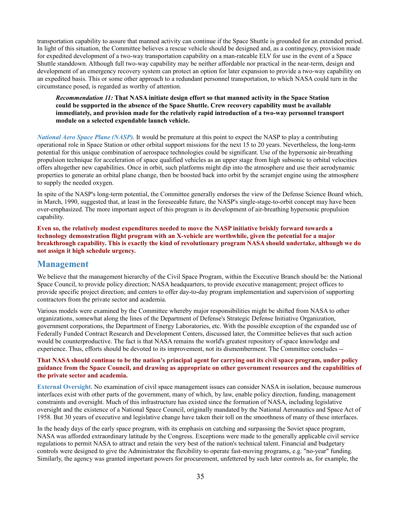transportation capability to assure that manned activity can continue if the Space Shuttle is grounded for an extended period. In light of this situation, the Committee believes a rescue vehicle should be designed and, as a contingency, provision made for expedited development of a two-way transportation capability on a man-rateable ELV for use in the event of a Space Shuttle standdown. Although full two-way capability may be neither affordable nor practical in the near-term, design and development of an emergency recovery system can protect an option for later expansion to provide a two-way capability on an expedited basis. This or some other approach to a redundant personnel transportation, to which NASA could turn in the circumstance posed, is regarded as worthy of attention.

*Recommendation 11:* **That NASA initiate design effort so that manned activity in the Space Station could be supported in the absence of the Space Shuttle. Crew recovery capability must be available immediately, and provision made for the relatively rapid introduction of a two-way personnel transport module on a selected expendable launch vehicle.**

*National Aero Space Plane (NASP).* It would be premature at this point to expect the NASP to play a contributing operational role in Space Station or other orbital support missions for the next 15 to 20 years. Nevertheless, the long-term potential for this unique combination of aerospace technologies could be significant. Use of the hypersonic air-breathing propulsion technique for acceleration of space qualified vehicles as an upper stage from high subsonic to orbital velocities offers altogether new capabilities. Once in orbit, such platforms might dip into the atmosphere and use their aerodynamic properties to generate an orbital plane change, then be boosted back into orbit by the scramjet engine using the atmosphere to supply the needed oxygen.

In spite of the NASP's long-term potential, the Committee generally endorses the view of the Defense Science Board which, in March, 1990, suggested that, at least in the foreseeable future, the NASP's single-stage-to-orbit concept may have been over-emphasized. The more important aspect of this program is its development of air-breathing hypersonic propulsion capability.

**Even so, the relatively modest expenditures needed to move the NASP initiative briskly forward towards a technology demonstration flight program with an X-vehicle are worthwhile, given the potential for a major breakthrough capability. This is exactly the kind of revolutionary program NASA should undertake, although we do not assign it high schedule urgency.**

#### **Management**

We believe that the management hierarchy of the Civil Space Program, within the Executive Branch should be: the National Space Council, to provide policy direction; NASA headquarters, to provide executive management; project offices to provide specific project direction; and centers to offer day-to-day program implementation and supervision of supporting contractors from the private sector and academia.

Various models were examined by the Committee whereby major responsibilities might be shifted from NASA to other organizations, somewhat along the lines of the Department of Defense's Strategic Defense Initiative Organization, government corporations, the Department of Energy Laboratories, etc. With the possible exception of the expanded use of Federally Funded Contract Research and Development Centers, discussed later, the Committee believes that such action would be counterproductive. The fact is that NASA remains the world's greatest repository of space knowledge and experience. Thus, efforts should be devoted to its improvement, not its dismemberment. The Committee concludes --

#### **That NASA should continue to be the nation's principal agent for carrying out its civil space program, under policy guidance from the Space Council, and drawing as appropriate on other government resources and the capabilities of the private sector and academia.**

**External Oversight.** No examination of civil space management issues can consider NASA in isolation, because numerous interfaces exist with other parts of the government, many of which, by law, enable policy direction, funding, management constraints and oversight. Much of this infrastructure has existed since the formation of NASA, including legislative oversight and the existence of a National Space Council, originally mandated by the National Aeronautics and Space Act of 1958. But 30 years of executive and legislative change have taken their toll on the smoothness of many of these interfaces.

In the heady days of the early space program, with its emphasis on catching and surpassing the Soviet space program, NASA was afforded extraordinary latitude by the Congress. Exceptions were made to the generally applicable civil service regulations to permit NASA to attract and retain the very best of the nation's technical talent. Financial and budgetary controls were designed to give the Administrator the flexibility to operate fast-moving programs, e.g. "no-year" funding. Similarly, the agency was granted important powers for procurement, unfettered by such later controls as, for example, the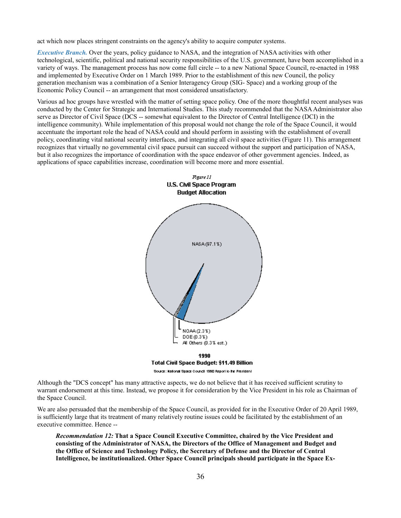act which now places stringent constraints on the agency's ability to acquire computer systems.

*Executive Branch.* Over the years, policy guidance to NASA, and the integration of NASA activities with other technological, scientific, political and national security responsibilities of the U.S. government, have been accomplished in a variety of ways. The management process has now come full circle -- to a new National Space Council, re-enacted in 1988 and implemented by Executive Order on 1 March 1989. Prior to the establishment of this new Council, the policy generation mechanism was a combination of a Senior Interagency Group (SIG- Space) and a working group of the Economic Policy Council -- an arrangement that most considered unsatisfactory.

Various ad hoc groups have wrestled with the matter of setting space policy. One of the more thoughtful recent analyses was conducted by the Center for Strategic and International Studies. This study recommended that the NASA Administrator also serve as Director of Civil Space (DCS -- somewhat equivalent to the Director of Central Intelligence (DCI) in the intelligence community). While implementation of this proposal would not change the role of the Space Council, it would accentuate the important role the head of NASA could and should perform in assisting with the establishment of overall policy, coordinating vital national security interfaces, and integrating all civil space activities (Figure 11). This arrangement recognizes that virtually no governmental civil space pursuit can succeed without the support and participation of NASA, but it also recognizes the importance of coordination with the space endeavor of other government agencies. Indeed, as applications of space capabilities increase, coordination will become more and more essential.



Total Civil Space Budget: \$11.49 Billion Source: National Space Council 1990 Report to the President

Although the "DCS concept" has many attractive aspects, we do not believe that it has received sufficient scrutiny to warrant endorsement at this time. Instead, we propose it for consideration by the Vice President in his role as Chairman of the Space Council.

We are also persuaded that the membership of the Space Council, as provided for in the Executive Order of 20 April 1989, is sufficiently large that its treatment of many relatively routine issues could be facilitated by the establishment of an executive committee. Hence --

*Recommendation 12:* **That a Space Council Executive Committee, chaired by the Vice President and consisting of the Administrator of NASA, the Directors of the Office of Management and Budget and the Office of Science and Technology Policy, the Secretary of Defense and the Director of Central Intelligence, be institutionalized. Other Space Council principals should participate in the Space Ex-**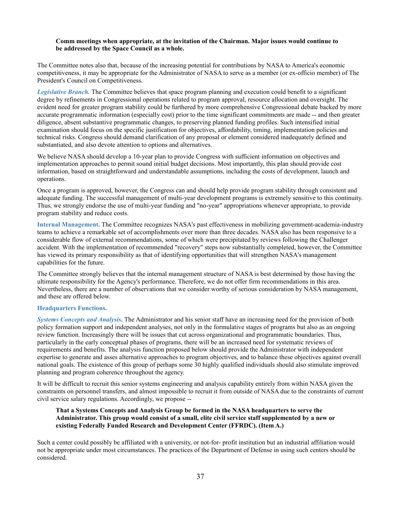#### **Comm meetings when appropriate, at the invitation of the Chairman. Major issues would continue to be addressed by the Space Council as a whole.**

The Committee notes also that, because of the increasing potential for contributions by NASA to America's economic competitiveness, it may be appropriate for the Administrator of NASA to serve as a member (or ex-officio member) of The President's Council on Competitiveness.

*Legislative Branch.* The Committee believes that space program planning and execution could benefit to a significant degree by refinements in Congressional operations related to program approval, resource allocation and oversight. The evident need for greater program stability could be furthered by more comprehensive Congressional debate backed by more accurate programmatic information (especially cost) prior to the time significant commitments are made -- and then greater diligence, absent substantive programmatic changes, to preserving planned funding profiles. Such intensified initial examination should focus on the specific justification for objectives, affordability, timing, implementation policies and technical risks. Congress should demand clarification of any proposal or element considered inadequately defined and substantiated, and also devote attention to options and alternatives.

We believe NASA should develop a 10-year plan to provide Congress with sufficient information on objectives and implementation approaches to permit sound initial budget decisions. Most importantly, this plan should provide cost information, based on straightforward and understandable assumptions, including the costs of development, launch and operations.

Once a program is approved, however, the Congress can and should help provide program stability through consistent and adequate funding. The successful management of multi-year development programs is extremely sensitive to this continuity. Thus, we strongly endorse the use of multi-year funding and "no-year" appropriations whenever appropriate, to provide program stability and reduce costs.

**Internal Management.** The Committee recognizes NASA's past effectiveness in mobilizing government-academia-industry teams to achieve a remarkable set of accomplishments over more than three decades. NASA also has been responsive to a considerable flow of external recommendations, some of which were precipitated by reviews following the Challenger accident. With the implementation of recommended "recovery" steps now substantially completed, however, the Committee has viewed its primary responsibility as that of identifying opportunities that will strengthen NASA's management capabilities for the future.

The Committee strongly believes that the internal management structure of NASA is best determined by those having the ultimate responsibility for the Agency's performance. Therefore, we do not offer firm recommendations in this area. Nevertheless, there are a number of observations that we consider worthy of serious consideration by NASA management, and these are offered below.

#### **Headquarters Functions.**

*Systems Concepts and Analysis.* The Administrator and his senior staff have an increasing need for the provision of both policy formation support and independent analyses, not only in the formulative stages of programs but also as an ongoing review function. Increasingly there will be issues that cut across organizational and programmatic boundaries. Thus, particularly in the early conceptual phases of programs, there will be an increased need for systematic reviews of requirements and benefits. The analysis function proposed below should provide the Administrator with independent expertise to generate and asses alternative approaches to program objectives, and to balance these objectives against overall national goals. The existence of this group of perhaps some 30 highly qualified individuals should also stimulate improved planning and program coherence throughout the agency.

It will be difficult to recruit this senior systems engineering and analysis capability entirely from within NASA given the constraints on personnel transfers, and almost impossible to recruit it from outside of NASA due to the constraints of current civil service salary regulations. Accordingly, we propose --

#### **That a Systems Concepts and Analysis Group be formed in the NASA headquarters to serve the Administrator. This group would consist of a small, elite civil service staff supplemented by a new or existing Federally Funded Research and Development Center (FFRDC). (Item A.)**

Such a center could possibly be affiliated with a university, or not-for- profit institution but an industrial affiliation would not be appropriate under most circumstances. The practices of the Department of Defense in using such centers should be considered.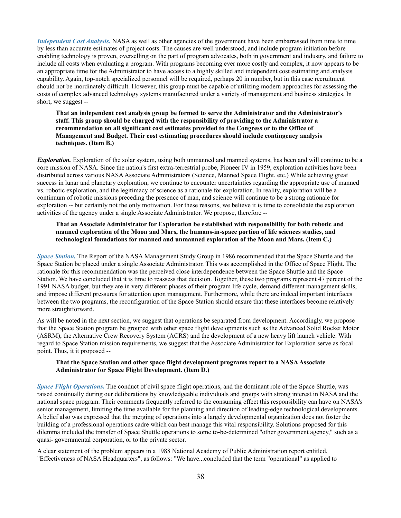*Independent Cost Analysis.* NASA as well as other agencies of the government have been embarrassed from time to time by less than accurate estimates of project costs. The causes are well understood, and include program initiation before enabling technology is proven, overselling on the part of program advocates, both in government and industry, and failure to include all costs when evaluating a program. With programs becoming ever more costly and complex, it now appears to be an appropriate time for the Administrator to have access to a highly skilled and independent cost estimating and analysis capability. Again, top-notch specialized personnel will be required, perhaps 20 in number, but in this case recruitment should not be inordinately difficult. However, this group must be capable of utilizing modern approaches for assessing the costs of complex advanced technology systems manufactured under a variety of management and business strategies. In short, we suggest --

**That an independent cost analysis group be formed to serve the Administrator and the Administrator's staff. This group should be charged with the responsibility of providing to the Administrator a recommendation on all significant cost estimates provided to the Congress or to the Office of Management and Budget. Their cost estimating procedures should include contingency analysis techniques. (Item B.)**

*Exploration*. Exploration of the solar system, using both unmanned and manned systems, has been and will continue to be a core mission of NASA. Since the nation's first extra-terrestrial probe, Pioneer IV in 1959, exploration activities have been distributed across various NASA Associate Administrators (Science, Manned Space Flight, etc.) While achieving great success in lunar and planetary exploration, we continue to encounter uncertainties regarding the appropriate use of manned vs. robotic exploration, and the legitimacy of science as a rationale for exploration. In reality, exploration will be a continuum of robotic missions preceding the presence of man, and science will continue to be a strong rationale for exploration -- but certainly not the only motivation. For these reasons, we believe it is time to consolidate the exploration activities of the agency under a single Associate Administrator. We propose, therefore --

#### **That an Associate Administrator for Exploration be established with responsibility for both robotic and manned exploration of the Moon and Mars, the humans-in-space portion of life sciences studies, and technological foundations for manned and unmanned exploration of the Moon and Mars. (Item C.)**

*Space Station.* The Report of the NASA Management Study Group in 1986 recommended that the Space Shuttle and the Space Station be placed under a single Associate Administrator. This was accomplished in the Office of Space Flight. The rationale for this recommendation was the perceived close interdependence between the Space Shuttle and the Space Station. We have concluded that it is time to reassess that decision. Together, these two programs represent 47 percent of the 1991 NASA budget, but they are in very different phases of their program life cycle, demand different management skills, and impose different pressures for attention upon management. Furthermore, while there are indeed important interfaces between the two programs, the reconfiguration of the Space Station should ensure that these interfaces become relatively more straightforward.

As will be noted in the next section, we suggest that operations be separated from development. Accordingly, we propose that the Space Station program be grouped with other space flight developments such as the Advanced Solid Rocket Motor (ASRM), the Alternative Crew Recovery System (ACRS) and the development of a new heavy lift launch vehicle. With regard to Space Station mission requirements, we suggest that the Associate Administrator for Exploration serve as focal point. Thus, it it proposed --

#### **That the Space Station and other space flight development programs report to a NASA Associate Administrator for Space Flight Development. (Item D.)**

*Space Flight Operations.* The conduct of civil space flight operations, and the dominant role of the Space Shuttle, was raised continually during our deliberations by knowledgeable individuals and groups with strong interest in NASA and the national space program. Their comments frequently referred to the consuming effect this responsibility can have on NASA's senior management, limiting the time available for the planning and direction of leading-edge technological developments. A belief also was expressed that the merging of operations into a largely developmental organization does not foster the building of a professional operations cadre which can best manage this vital responsibility. Solutions proposed for this dilemma included the transfer of Space Shuttle operations to some to-be-determined "other government agency," such as a quasi- governmental corporation, or to the private sector.

A clear statement of the problem appears in a 1988 National Academy of Public Administration report entitled, "Effectiveness of NASA Headquarters", as follows: "We have...concluded that the term "operational" as applied to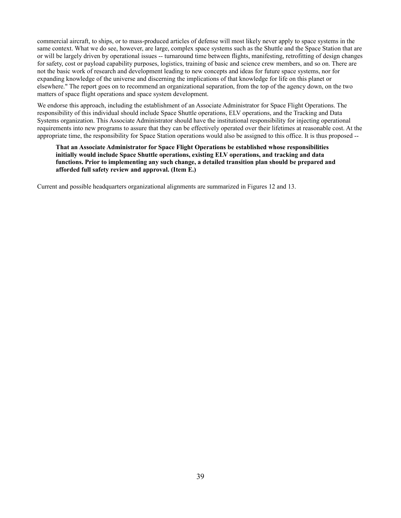commercial aircraft, to ships, or to mass-produced articles of defense will most likely never apply to space systems in the same context. What we do see, however, are large, complex space systems such as the Shuttle and the Space Station that are or will be largely driven by operational issues -- turnaround time between flights, manifesting, retrofitting of design changes for safety, cost or payload capability purposes, logistics, training of basic and science crew members, and so on. There are not the basic work of research and development leading to new concepts and ideas for future space systems, nor for expanding knowledge of the universe and discerning the implications of that knowledge for life on this planet or elsewhere." The report goes on to recommend an organizational separation, from the top of the agency down, on the two matters of space flight operations and space system development.

We endorse this approach, including the establishment of an Associate Administrator for Space Flight Operations. The responsibility of this individual should include Space Shuttle operations, ELV operations, and the Tracking and Data Systems organization. This Associate Administrator should have the institutional responsibility for injecting operational requirements into new programs to assure that they can be effectively operated over their lifetimes at reasonable cost. At the appropriate time, the responsibility for Space Station operations would also be assigned to this office. It is thus proposed --

#### **That an Associate Administrator for Space Flight Operations be established whose responsibilities initially would include Space Shuttle operations, existing ELV operations, and tracking and data functions. Prior to implementing any such change, a detailed transition plan should be prepared and afforded full safety review and approval. (Item E.)**

Current and possible headquarters organizational alignments are summarized in Figures 12 and 13.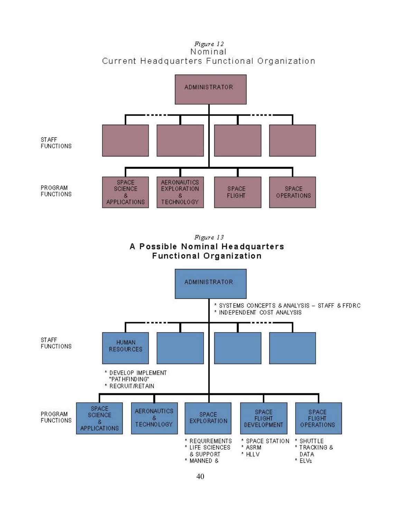STAFF FUNCTIONS PROGRAM FUNCTIONS ADMINISTRATOR. ..... ..... I I I I I am a march of the state of the state of the state of the state of the state of SPACE AERONAUTICS EXPLORATION SPACE SPACE<br>8 FLIGHT OPERATIO & & & & FLIGHT OPERATIONS **APPLICATIONS** 

*Figure* 12 Nominal Current Headquarters Functional Organization

*Figure* 13 **A Possible Nominal Headquarters Functional Organization** 

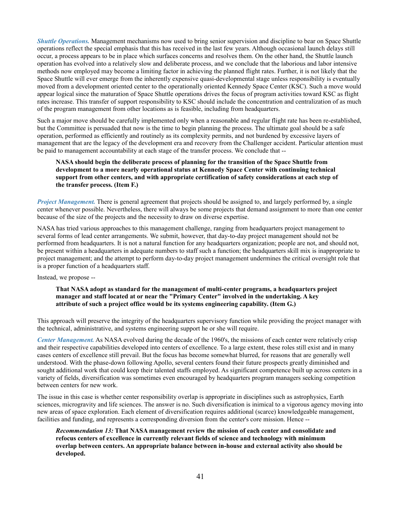*Shuttle Operations.* Management mechanisms now used to bring senior supervision and discipline to bear on Space Shuttle operations reflect the special emphasis that this has received in the last few years. Although occasional launch delays still occur, a process appears to be in place which surfaces concerns and resolves them. On the other hand, the Shuttle launch operation has evolved into a relatively slow and deliberate process, and we conclude that the laborious and labor intensive methods now employed may become a limiting factor in achieving the planned flight rates. Further, it is not likely that the Space Shuttle will ever emerge from the inherently expensive quasi-developmental stage unless responsibility is eventually moved from a development oriented center to the operationally oriented Kennedy Space Center (KSC). Such a move would appear logical since the maturation of Space Shuttle operations drives the focus of program activities toward KSC as flight rates increase. This transfer of support responsibility to KSC should include the concentration and centralization of as much of the program management from other locations as is feasible, including from headquarters.

Such a major move should be carefully implemented only when a reasonable and regular flight rate has been re-established, but the Committee is persuaded that now is the time to begin planning the process. The ultimate goal should be a safe operation, performed as efficiently and routinely as its complexity permits, and not burdened by excessive layers of management that are the legacy of the development era and recovery from the Challenger accident. Particular attention must be paid to management accountability at each stage of the transfer process. We conclude that --

#### **NASA should begin the deliberate process of planning for the transition of the Space Shuttle from development to a more nearly operational status at Kennedy Space Center with continuing technical support from other centers, and with appropriate certification of safety considerations at each step of the transfer process. (Item F.)**

*Project Management.* There is general agreement that projects should be assigned to, and largely performed by, a single center whenever possible. Nevertheless, there will always be some projects that demand assignment to more than one center because of the size of the projects and the necessity to draw on diverse expertise.

NASA has tried various approaches to this management challenge, ranging from headquarters project management to several forms of lead center arrangements. We submit, however, that day-to-day project management should not be performed from headquarters. It is not a natural function for any headquarters organization; people are not, and should not, be present within a headquarters in adequate numbers to staff such a function; the headquarters skill mix is inappropriate to project management; and the attempt to perform day-to-day project management undermines the critical oversight role that is a proper function of a headquarters staff.

Instead, we propose --

#### **That NASA adopt as standard for the management of multi-center programs, a headquarters project manager and staff located at or near the "Primary Center" involved in the undertaking. A key attribute of such a project office would be its systems engineering capability. (Item G.)**

This approach will preserve the integrity of the headquarters supervisory function while providing the project manager with the technical, administrative, and systems engineering support he or she will require.

*Center Management.* As NASA evolved during the decade of the 1960's, the missions of each center were relatively crisp and their respective capabilities developed into centers of excellence. To a large extent, these roles still exist and in many cases centers of excellence still prevail. But the focus has become somewhat blurred, for reasons that are generally well understood. With the phase-down following Apollo, several centers found their future prospects greatly diminished and sought additional work that could keep their talented staffs employed. As significant competence built up across centers in a variety of fields, diversification was sometimes even encouraged by headquarters program managers seeking competition between centers for new work.

The issue in this case is whether center responsibility overlap is appropriate in disciplines such as astrophysics, Earth sciences, microgravity and life sciences. The answer is no. Such diversification is inimical to a vigorous agency moving into new areas of space exploration. Each element of diversification requires additional (scarce) knowledgeable management, facilities and funding, and represents a corresponding diversion from the center's core mission. Hence --

#### *Recommendation 13:* **That NASA management review the mission of each center and consolidate and refocus centers of excellence in currently relevant fields of science and technology with minimum overlap between centers. An appropriate balance between in-house and external activity also should be developed.**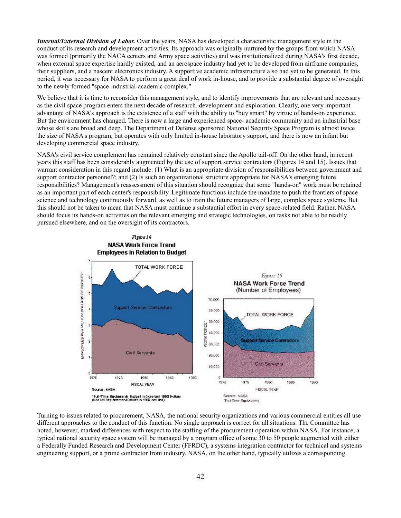*Internal/External Division of Labor.* Over the years, NASA has developed a characteristic management style in the conduct of its research and development activities. Its approach was originally nurtured by the groups from which NASA was formed (primarily the NACA centers and Army space activities) and was institutionalized during NASA's first decade, when external space expertise hardly existed, and an aerospace industry had yet to be developed from airframe companies, their suppliers, and a nascent electronics industry. A supportive academic infrastructure also had yet to be generated. In this period, it was necessary for NASA to perform a great deal of work in-house, and to provide a substantial degree of oversight to the newly formed "space-industrial-academic complex."

We believe that it is time to reconsider this management style, and to identify improvements that are relevant and necessary as the civil space program enters the next decade of research, development and exploration. Clearly, one very important advantage of NASA's approach is the existence of a staff with the ability to "buy smart" by virtue of hands-on experience. But the environment has changed. There is now a large and experienced space- academic community and an industrial base whose skills are broad and deep. The Department of Defense sponsored National Security Space Program is almost twice the size of NASA's program, but operates with only limited in-house laboratory support, and there is now an infant but developing commercial space industry.

NASA's civil service complement has remained relatively constant since the Apollo tail-off. On the other hand, in recent years this staff has been considerably augmented by the use of support service contractors (Figures 14 and 15). Issues that warrant consideration in this regard include: (1) What is an appropriate division of responsibilities between government and support contractor personnel?; and (2) Is such an organizational structure appropriate for NASA's emerging future responsibilities? Management's reassessment of this situation should recognize that some "hands-on" work must be retained as an important part of each center's responsibility. Legitimate functions include the mandate to push the frontiers of space science and technology continuously forward, as well as to train the future managers of large, complex space systems. But this should not be taken to mean that NASA must continue a substantial effort in every space-related field. Rather, NASA should focus its hands-on activities on the relevant emerging and strategic technologies, on tasks not able to be readily pursued elsewhere, and on the oversight of its contractors.



Turning to issues related to procurement, NASA, the national security organizations and various commercial entities all use different approaches to the conduct of this function. No single approach is correct for all situations. The Committee has noted, however, marked differences with respect to the staffing of the procurement operation within NASA. For instance, a typical national security space system will be managed by a program office of some 30 to 50 people augmented with either a Federally Funded Research and Development Center (FFRDC), a systems integration contractor for technical and systems engineering support, or a prime contractor from industry. NASA, on the other hand, typically utilizes a corresponding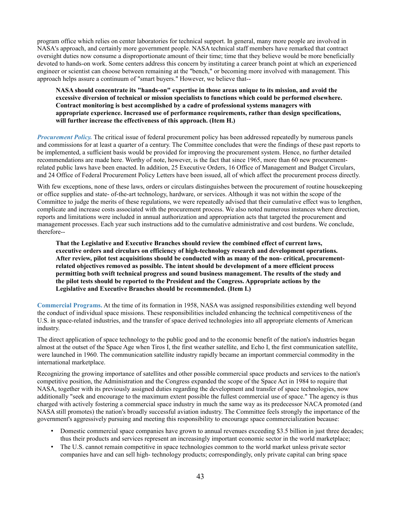program office which relies on center laboratories for technical support. In general, many more people are involved in NASA's approach, and certainly more government people. NASA technical staff members have remarked that contract oversight duties now consume a disproportionate amount of their time; time that they believe would be more beneficially devoted to hands-on work. Some centers address this concern by instituting a career branch point at which an experienced engineer or scientist can choose between remaining at the "bench," or becoming more involved with management. This approach helps assure a continuum of "smart buyers." However, we believe that--

**NASA should concentrate its "hands-on" expertise in those areas unique to its mission, and avoid the excessive diversion of technical or mission specialists to functions which could be performed elsewhere. Contract monitoring is best accomplished by a cadre of professional systems managers with appropriate experience. Increased use of performance requirements, rather than design specifications, will further increase the effectiveness of this approach. (Item H.)**

*Procurement Policy.* The critical issue of federal procurement policy has been addressed repeatedly by numerous panels and commissions for at least a quarter of a century. The Committee concludes that were the findings of these past reports to be implemented, a sufficient basis would be provided for improving the procurement system. Hence, no further detailed recommendations are made here. Worthy of note, however, is the fact that since 1965, more than 60 new procurementrelated public laws have been enacted. In addition, 25 Executive Orders, 16 Office of Management and Budget Circulars, and 24 Office of Federal Procurement Policy Letters have been issued, all of which affect the procurement process directly.

With few exceptions, none of these laws, orders or circulars distinguishes between the procurement of routine housekeeping or office supplies and state- of-the-art technology, hardware, or services. Although it was not within the scope of the Committee to judge the merits of these regulations, we were repeatedly advised that their cumulative effect was to lengthen, complicate and increase costs associated with the procurement process. We also noted numerous instances where direction, reports and limitations were included in annual authorization and appropriation acts that targeted the procurement and management processes. Each year such instructions add to the cumulative administrative and cost burdens. We conclude, therefore--

**That the Legislative and Executive Branches should review the combined effect of current laws, executive orders and circulars on efficiency of high-technology research and development operations. After review, pilot test acquisitions should be conducted with as many of the non- critical, procurementrelated objectives removed as possible. The intent should be development of a more efficient process permitting both swift technical progress and sound business management. The results of the study and the pilot tests should be reported to the President and the Congress. Appropriate actions by the Legislative and Executive Branches should be recommended. (Item I.)**

**Commercial Programs.** At the time of its formation in 1958, NASA was assigned responsibilities extending well beyond the conduct of individual space missions. These responsibilities included enhancing the technical competitiveness of the U.S. in space-related industries, and the transfer of space derived technologies into all appropriate elements of American industry.

The direct application of space technology to the public good and to the economic benefit of the nation's industries began almost at the outset of the Space Age when Tiros I, the first weather satellite, and Echo I, the first communication satellite, were launched in 1960. The communication satellite industry rapidly became an important commercial commodity in the international marketplace.

Recognizing the growing importance of satellites and other possible commercial space products and services to the nation's competitive position, the Administration and the Congress expanded the scope of the Space Act in 1984 to require that NASA, together with its previously assigned duties regarding the development and transfer of space technologies, now additionally "seek and encourage to the maximum extent possible the fullest commercial use of space." The agency is thus charged with actively fostering a commercial space industry in much the same way as its predecessor NACA promoted (and NASA still promotes) the nation's broadly successful aviation industry. The Committee feels strongly the importance of the government's aggressively pursuing and meeting this responsibility to encourage space commercialization because:

- Domestic commercial space companies have grown to annual revenues exceeding \$3.5 billion in just three decades; thus their products and services represent an increasingly important economic sector in the world marketplace;
- The U.S. cannot remain competitive in space technologies common to the world market unless private sector companies have and can sell high- technology products; correspondingly, only private capital can bring space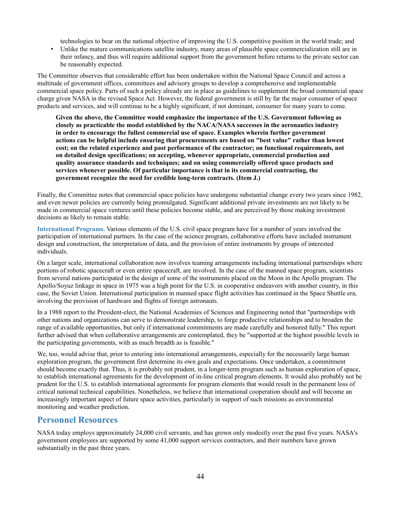technologies to bear on the national objective of improving the U.S. competitive position in the world trade; and

• Unlike the mature communications satellite industry, many areas of plausible space commercialization still are in their infancy, and thus will require additional support from the government before returns to the private sector can be reasonably expected.

The Committee observes that considerable effort has been undertaken within the National Space Council and across a multitude of government offices, committees and advisory groups to develop a comprehensive and implementable commercial space policy. Parts of such a policy already are in place as guidelines to supplement the broad commercial space charge given NASA in the revised Space Act. However, the federal government is still by far the major consumer of space products and services, and will continue to be a highly significant, if not dominant, consumer for many years to come.

**Given the above, the Committee would emphasize the importance of the U.S. Government following as closely as practicable the model established by the NACA/NASA successes in the aeronautics industry in order to encourage the fullest commercial use of space. Examples wherein further government actions can be helpful include ensuring that procurements are based on "best value" rather than lowest cost; on the related experience and past performance of the contractor; on functional requirements, not on detailed design specifications; on accepting, whenever appropriate, commercial production and quality assurance standards and techniques; and on using commercially offered space products and services whenever possible. Of particular importance is that in its commercial contracting, the government recognize the need for credible long-term contracts. (Item J.)**

Finally, the Committee notes that commercial space policies have undergone substantial change every two years since 1982, and even newer policies are currently being promulgated. Significant additional private investments are not likely to be made in commercial space ventures until these policies become stable, and are perceived by those making investment decisions as likely to remain stable.

**International Programs.** Various elements of the U.S. civil space program have for a number of years involved the participation of international partners. In the case of the science program, collaborative efforts have included instrument design and construction, the interpretation of data, and the provision of entire instruments by groups of interested individuals.

On a larger scale, international collaboration now involves teaming arrangements including international partnerships where portions of robotic spacecraft or even entire spacecraft, are involved. In the case of the manned space program, scientists from several nations participated in the design of some of the instruments placed on the Moon in the Apollo program. The Apollo/Soyuz linkage in space in 1975 was a high point for the U.S. in cooperative endeavors with another country, in this case, the Soviet Union. International participation in manned space flight activities has continued in the Space Shuttle era, involving the provision of hardware and flights of foreign astronauts.

In a 1988 report to the President-elect, the National Academies of Sciences and Engineering noted that "partnerships with other nations and organizations can serve to demonstrate leadership, to forge productive relationships and to broaden the range of available opportunities, but only if international commitments are made carefully and honored fully." This report further advised that when collaborative arrangements are contemplated, they be "supported at the highest possible levels in the participating governments, with as much breadth as is feasible."

We, too, would advise that, prior to entering into international arrangements, especially for the necessarily large human exploration program, the government first determine its own goals and expectations. Once undertaken, a commitment should become exactly that. Thus, it is probably not prudent, in a longer-term program such as human exploration of space, to establish international agreements for the development of in-line critical program elements. It would also probably not be prudent for the U.S. to establish international agreements for program elements that would result in the permanent loss of critical national technical capabilities. Nonetheless, we believe that international cooperation should and will become an increasingly important aspect of future space activities, particularly in support of such missions as environmental monitoring and weather prediction.

### **Personnel Resources**

NASA today employs approximately 24,000 civil servants, and has grown only modestly over the past five years. NASA's government employees are supported by some 41,000 support services contractors, and their numbers have grown substantially in the past three years.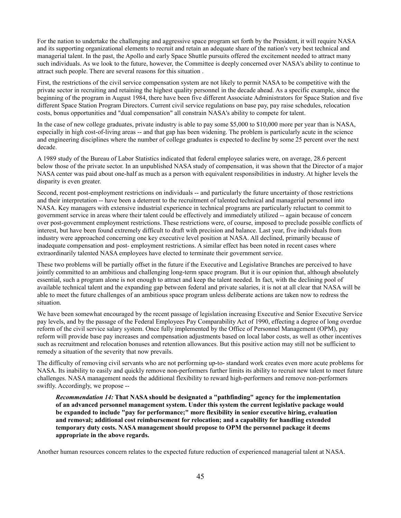For the nation to undertake the challenging and aggressive space program set forth by the President, it will require NASA and its supporting organizational elements to recruit and retain an adequate share of the nation's very best technical and managerial talent. In the past, the Apollo and early Space Shuttle pursuits offered the excitement needed to attract many such individuals. As we look to the future, however, the Committee is deeply concerned over NASA's ability to continue to attract such people. There are several reasons for this situation .

First, the restrictions of the civil service compensation system are not likely to permit NASA to be competitive with the private sector in recruiting and retaining the highest quality personnel in the decade ahead. As a specific example, since the beginning of the program in August 1984, there have been five different Associate Administrators for Space Station and five different Space Station Program Directors. Current civil service regulations on base pay, pay raise schedules, relocation costs, bonus opportunities and "dual compensation" all constrain NASA's ability to compete for talent.

In the case of new college graduates, private industry is able to pay some \$5,000 to \$10,000 more per year than is NASA, especially in high cost-of-living areas -- and that gap has been widening. The problem is particularly acute in the science and engineering disciplines where the number of college graduates is expected to decline by some 25 percent over the next decade.

A 1989 study of the Bureau of Labor Statistics indicated that federal employee salaries were, on average, 28.6 percent below those of the private sector. In an unpublished NASA study of compensation, it was shown that the Director of a major NASA center was paid about one-half as much as a person with equivalent responsibilities in industry. At higher levels the disparity is even greater.

Second, recent post-employment restrictions on individuals -- and particularly the future uncertainty of those restrictions and their interpretation -- have been a deterrent to the recruitment of talented technical and managerial personnel into NASA. Key managers with extensive industrial experience in technical programs are particularly reluctant to commit to government service in areas where their talent could be effectively and immediately utilized -- again because of concern over post-government employment restrictions. These restrictions were, of course, imposed to preclude possible conflicts of interest, but have been found extremely difficult to draft with precision and balance. Last year, five individuals from industry were approached concerning one key executive level position at NASA. All declined, primarily because of inadequate compensation and post- employment restrictions. A similar effect has been noted in recent cases where extraordinarily talented NASA employees have elected to terminate their government service.

These two problems will be partially offset in the future if the Executive and Legislative Branches are perceived to have jointly committed to an ambitious and challenging long-term space program. But it is our opinion that, although absolutely essential, such a program alone is not enough to attract and keep the talent needed. In fact, with the declining pool of available technical talent and the expanding gap between federal and private salaries, it is not at all clear that NASA will be able to meet the future challenges of an ambitious space program unless deliberate actions are taken now to redress the situation.

We have been somewhat encouraged by the recent passage of legislation increasing Executive and Senior Executive Service pay levels, and by the passage of the Federal Employees Pay Comparability Act of 1990, effecting a degree of long overdue reform of the civil service salary system. Once fully implemented by the Office of Personnel Management (OPM), pay reform will provide base pay increases and compensation adjustments based on local labor costs, as well as other incentives such as recruitment and relocation bonuses and retention allowances. But this positive action may still not be sufficient to remedy a situation of the severity that now prevails.

The difficulty of removing civil servants who are not performing up-to- standard work creates even more acute problems for NASA. Its inability to easily and quickly remove non-performers further limits its ability to recruit new talent to meet future challenges. NASA management needs the additional flexibility to reward high-performers and remove non-performers swiftly. Accordingly, we propose --

*Recommendation 14:* **That NASA should be designated a "pathfinding" agency for the implementation of an advanced personnel management system. Under this system the current legislative package would be expanded to include "pay for performance;" more flexibility in senior executive hiring, evaluation and removal; additional cost reimbursement for relocation; and a capability for handling extended temporary duty costs. NASA management should propose to OPM the personnel package it deems appropriate in the above regards.**

Another human resources concern relates to the expected future reduction of experienced managerial talent at NASA.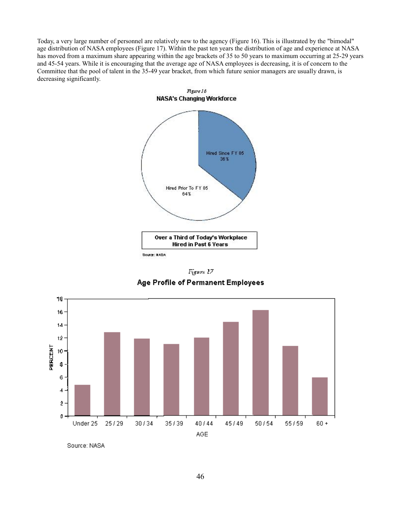Today, a very large number of personnel are relatively new to the agency (Figure 16). This is illustrated by the "bimodal" age distribution of NASA employees (Figure 17). Within the past ten years the distribution of age and experience at NASA has moved from a maximum share appearing within the age brackets of 35 to 50 years to maximum occurring at 25-29 years and 45-54 years. While it is encouraging that the average age of NASA employees is decreasing, it is of concern to the Committee that the pool of talent in the 35-49 year bracket, from which future senior managers are usually drawn, is decreasing significantly.





**Age Profile of Permanent Employees** 



Source: NASA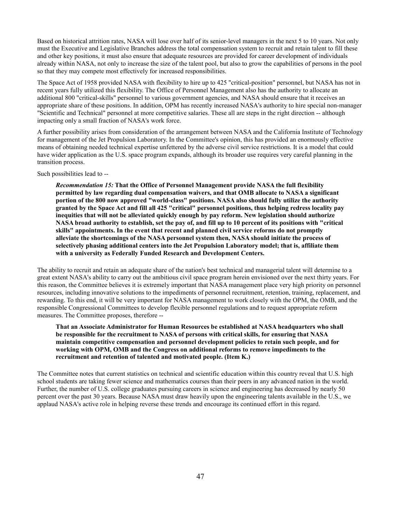Based on historical attrition rates, NASA will lose over half of its senior-level managers in the next 5 to 10 years. Not only must the Executive and Legislative Branches address the total compensation system to recruit and retain talent to fill these and other key positions, it must also ensure that adequate resources are provided for career development of individuals already within NASA, not only to increase the size of the talent pool, but also to grow the capabilities of persons in the pool so that they may compete most effectively for increased responsibilities.

The Space Act of 1958 provided NASA with flexibility to hire up to 425 "critical-position" personnel, but NASA has not in recent years fully utilized this flexibility. The Office of Personnel Management also has the authority to allocate an additional 800 "critical-skills" personnel to various government agencies, and NASA should ensure that it receives an appropriate share of these positions. In addition, OPM has recently increased NASA's authority to hire special non-manager "Scientific and Technical" personnel at more competitive salaries. These all are steps in the right direction -- although impacting only a small fraction of NASA's work force.

A further possibility arises from consideration of the arrangement between NASA and the California Institute of Technology for management of the Jet Propulsion Laboratory. In the Committee's opinion, this has provided an enormously effective means of obtaining needed technical expertise unfettered by the adverse civil service restrictions. It is a model that could have wider application as the U.S. space program expands, although its broader use requires very careful planning in the transition process.

Such possibilities lead to --

*Recommendation 15:* **That the Office of Personnel Management provide NASA the full flexibility permitted by law regarding dual compensation waivers, and that OMB allocate to NASA a significant portion of the 800 now approved "world-class" positions. NASA also should fully utilize the authority granted by the Space Act and fill all 425 "critical" personnel positions, thus helping redress locality pay inequities that will not be alleviated quickly enough by pay reform. New legislation should authorize NASA broad authority to establish, set the pay of, and fill up to 10 percent of its positions with "critical skills" appointments. In the event that recent and planned civil service reforms do not promptly alleviate the shortcomings of the NASA personnel system then, NASA should initiate the process of selectively phasing additional centers into the Jet Propulsion Laboratory model; that is, affiliate them with a university as Federally Funded Research and Development Centers.**

The ability to recruit and retain an adequate share of the nation's best technical and managerial talent will determine to a great extent NASA's ability to carry out the ambitious civil space program herein envisioned over the next thirty years. For this reason, the Committee believes it is extremely important that NASA management place very high priority on personnel resources, including innovative solutions to the impediments of personnel recruitment, retention, training, replacement, and rewarding. To this end, it will be very important for NASA management to work closely with the OPM, the OMB, and the responsible Congressional Committees to develop flexible personnel regulations and to request appropriate reform measures. The Committee proposes, therefore --

#### **That an Associate Administrator for Human Resources be established at NASA headquarters who shall be responsible for the recruitment to NASA of persons with critical skills, for ensuring that NASA maintain competitive compensation and personnel development policies to retain such people, and for working with OPM, OMB and the Congress on additional reforms to remove impediments to the recruitment and retention of talented and motivated people. (Item K.)**

The Committee notes that current statistics on technical and scientific education within this country reveal that U.S. high school students are taking fewer science and mathematics courses than their peers in any advanced nation in the world. Further, the number of U.S. college graduates pursuing careers in science and engineering has decreased by nearly 50 percent over the past 30 years. Because NASA must draw heavily upon the engineering talents available in the U.S., we applaud NASA's active role in helping reverse these trends and encourage its continued effort in this regard.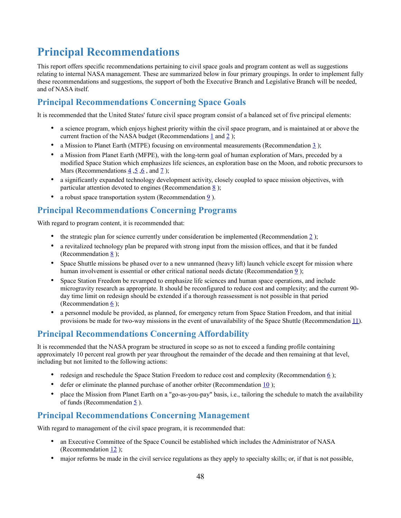## **Principal Recommendations**

This report offers specific recommendations pertaining to civil space goals and program content as well as suggestions relating to internal NASA management. These are summarized below in four primary groupings. In order to implement fully these recommendations and suggestions, the support of both the Executive Branch and Legislative Branch will be needed, and of NASA itself.

## **Principal Recommendations Concerning Space Goals**

It is recommended that the United States' future civil space program consist of a balanced set of five principal elements:

- a science program, which enjoys highest priority within the civil space program, and is maintained at or above the current fraction of the NASA budget (Recommendations [1](http://www.hq.nasa.gov/office/pao/History/augustine/racfup5.htm#Recommendation%201) and [2](http://www.hq.nasa.gov/office/pao/History/augustine/racfup5.htm#Recommendation%202) );
- a Mission to Planet Earth (MTPE) focusing on environmental measurements (Recommendation 3);
- a Mission from Planet Earth (MFPE), with the long-term goal of human exploration of Mars, preceded by a modified Space Station which emphasizes life sciences, an exploration base on the Moon, and robotic precursors to Mars (Recommendations 4, 5, 6, and 7);
- a significantly expanded technology development activity, closely coupled to space mission objectives, with particular attention devoted to engines (Recommendation [8](http://www.hq.nasa.gov/office/pao/History/augustine/racfup5.htm#Recommendation%208) );
- a robust space transportation system (Recommendation 9).

## **Principal Recommendations Concerning Programs**

With regard to program content, it is recommended that:

- the strategic plan for science currently under consideration be implemented (Recommendation 2);
- a revitalized technology plan be prepared with strong input from the mission offices, and that it be funded (Recommendation [8](http://www.hq.nasa.gov/office/pao/History/augustine/racfup5.htm#Recommendation%208) );
- Space Shuttle missions be phased over to a new unmanned (heavy lift) launch vehicle except for mission where human involvement is essential or other critical national needs dictate (Recommendation [9](http://www.hq.nasa.gov/office/pao/History/augustine/racfup5.htm#Recommendation%209) );
- Space Station Freedom be revamped to emphasize life sciences and human space operations, and include microgravity research as appropriate. It should be reconfigured to reduce cost and complexity; and the current 90 day time limit on redesign should be extended if a thorough reassessment is not possible in that period (Recommendation [6](http://www.hq.nasa.gov/office/pao/History/augustine/racfup5.htm#Recommendation%206) );
- a personnel module be provided, as planned, for emergency return from Space Station Freedom, and that initial provisions be made for two-way missions in the event of unavailability of the Space Shuttle (Recommendation  $11$ ).

## **Principal Recommendations Concerning Affordability**

It is recommended that the NASA program be structured in scope so as not to exceed a funding profile containing approximately 10 percent real growth per year throughout the remainder of the decade and then remaining at that level, including but not limited to the following actions:

- redesign and reschedule the Space Station Freedom to reduce cost and complexity (Recommendation 6);
- defer or eliminate the planned purchase of another orbiter (Recommendation 10);
- place the Mission from Planet Earth on a "go-as-you-pay" basis, i.e., tailoring the schedule to match the availability of funds (Recommendation [5](http://www.hq.nasa.gov/office/pao/History/augustine/racfup5.htm#Recommendation%205) ).

## **Principal Recommendations Concerning Management**

With regard to management of the civil space program, it is recommended that:

- an Executive Committee of the Space Council be established which includes the Administrator of NASA (Recommendation [12](http://www.hq.nasa.gov/office/pao/History/augustine/racfup5.htm#Recommendation%2012) );
- major reforms be made in the civil service regulations as they apply to specialty skills; or, if that is not possible,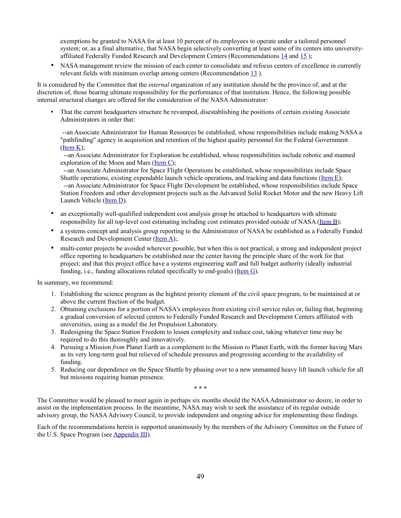exemptions be granted to NASA for at least 10 percent of its employees to operate under a tailored personnel system; or, as a final alternative, that NASA begin selectively converting at least some of its centers into universityaffiliated Federally Funded Research and Development Centers (Recommendations [14](http://www.hq.nasa.gov/office/pao/History/augustine/racfup5.htm#Recommendation%2014) and [15](http://www.hq.nasa.gov/office/pao/History/augustine/racfup5.htm#Recommendation%2015) );

• NASA management review the mission of each center to consolidate and refocus centers of excellence in currently relevant fields with minimum overlap among centers (Recommendation [13](http://www.hq.nasa.gov/office/pao/History/augustine/racfup5.htm#Recommendation%2013) ).

It is considered by the Committee that the *internal* organization of any institution should be the province of, and at the discretion of, those bearing ultimate responsibility for the performance of that institution. Hence, the following possible internal structural changes are offered for the consideration of the NASA Administrator:

• That the current headquarters structure be revamped, disestablishing the positions of certain existing Associate Administrators in order that:

--an Associate Administrator for Human Resources be established, whose responsibilities include making NASA a "pathfinding" agency in acquisition and retention of the highest quality personnel for the Federal Government  $(Item K);$  $(Item K);$ 

--an Associate Administrator for Exploration be established, whose responsibilities include robotic and manned exploration of the Moon and Mars [\(Item C\)](http://www.hq.nasa.gov/office/pao/History/augustine/racfup5.htm#Item%20C);

--an Associate Administrator for Space Flight Operations be established, whose responsibilities include Space Shuttle operations, existing expendable launch vehicle operations, and tracking and data functions [\(Item E\)](http://www.hq.nasa.gov/office/pao/History/augustine/racfup5.htm#Item%20E); --an Associate Administrator for Space Flight Development be established, whose responsibilities include Space Station Freedom and other development projects such as the Advanced Solid Rocket Motor and the new Heavy Lift Launch Vehicle [\(Item D\)](http://www.hq.nasa.gov/office/pao/History/augustine/racfup5.htm#Item%20D).

- an exceptionally well-qualified independent cost analysis group be attached to headquarters with ultimate responsibility for all top-level cost estimating including cost estimates provided outside of NASA (<u>Item B)</u>;
- a systems concept and analysis group reporting to the Administrator of NASA be established as a Federally Funded Research and Development Center [\(Item A\)](http://www.hq.nasa.gov/office/pao/History/augustine/racfup5.htm#Irem%20A);.
- multi-center projects be avoided wherever possible, but when this is not practical, a strong and independent project office reporting to headquarters be established near the center having the principle share of the work for that project; and that this project office have a systems engineering staff and full budget authority (ideally industrial funding, i.e., funding allocations related specifically to end-goals) [\(Item G\)](http://www.hq.nasa.gov/office/pao/History/augustine/racfup5.htm#Irem%20G).

In summary, we recommend:

- 1. Establishing the science program as the hightest priority element of the civil space program, to be maintained at or above the current fraction of the budget.
- 2. Obtaining exclusions for a portion of NASA's employees from existing civil service rules or, failing that, beginning a gradual conversion of selected centers to Federally Funded Research and Development Centers affiliated with universities, using as a model the Jet Propulsion Laboratory.
- 3. Redesigning the Space Station Freedom to lessen complexity and reduce cost, taking whatever time may be required to do this thoroughly and innovatively.
- 4. Pursuing a Mission *from* Planet Earth as a complement to the Mission *to* Planet Earth, with the former having Mars as its very long-term goal but relieved of schedule pressures and progressing according to the availability of funding.
- 5. Reducing our dependence on the Space Shuttle by phasing over to a new unmanned heavy lift launch vehicle for all but missions requiring human presence.

**\* \* \***

The Committee would be pleased to meet again in perhaps six months should the NASA Administrator so desire, in order to assist on the implementation process. In the meantime, NASA may wish to seek the assistance of its regular outside advisory group, the NASA Advisory Council, to provide independent and ongoing advice for implementing these findings.

Each of the recommendations herein is supported unanimously by the members of the Advisory Committee on the Future of the U.S. Space Program (see [Appendix III\)](http://www.hq.nasa.gov/office/pao/History/augustine/racfup7.htm#Appendix%20III).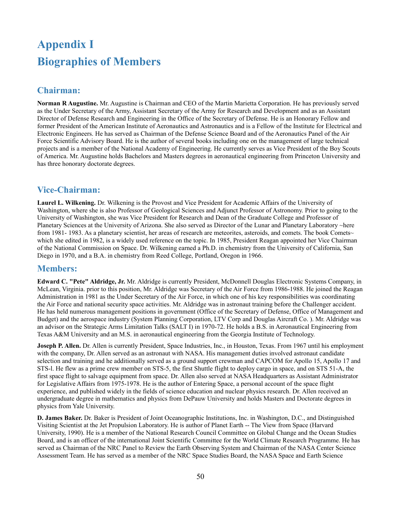# **Appendix I Biographies of Members**

## **Chairman:**

**Norman R Augustine.** Mr. Augustine is Chairman and CEO of the Martin Marietta Corporation. He has previously served as the Under Secretary of the Army, Assistant Secretary of the Army for Research and Development and as an Assistant Director of Defense Research and Engineering in the Office of the Secretary of Defense. He is an Honorary Fellow and former President of the American Institute of Aeronautics and Astronautics and is a Fellow of the Institute for Electrical and Electronic Engineers. He has served as Chairman of the Defense Science Board and of the Aeronautics Panel of the Air Force Scientific Advisory Board. He is the author of several books including one on the management of large technical projects and is a member of the National Academy of Engineering. He currently serves as Vice President of the Boy Scouts of America. Mr. Augustine holds Bachelors and Masters degrees in aeronautical engineering from Princeton University and has three honorary doctorate degrees.

## **Vice-Chairman:**

**Laurel L. Wilkening.** Dr. Wilkening is the Provost and Vice President for Academic Affairs of the University of Washington, where she is also Professor of Geological Sciences and Adjunct Professor of Astronomy. Prior to going to the University of Washington, she was Vice President for Research and Dean of the Graduate College and Professor of Planetary Sciences at the University of Arizona. She also served as Director of the Lunar and Planetary Laboratory ~here from 1981- 1983. As a planetary scientist, her areas of research are meteorites, asteroids, and comets. The book Comets~ which she edited in 1982, is a widely used reference on the topic. In 1985, President Reagan appointed her Vice Chairman of the National Commission on Space. Dr. Wilkening earned a Ph.D. in chemistry from the University of California, San Diego in 1970, and a B.A. in chemistry from Reed College, Portland, Oregon in 1966.

## **Members:**

**Edward C. "Pete" Aldridge, Jr.** Mr. Aldridge is currently President, McDonnell Douglas Electronic Systems Company, in McLean, Virginia. prior to this position, Mr. Aldridge was Secretary of the Air Force from 1986-1988. He joined the Reagan Administration in 1981 as the Under Secretary of the Air Force, in which one of his key responsibilities was coordinating the Air Force and national security space activities. Mr. Aldridge was in astronaut training before the Challenger accident. He has held numerous management positions in government (Office of the Secretary of Defense, Office of Management and Budget) and the aerospace industry (System Planning Corporation, LTV Corp and Douglas Aircraft Co. ). Mr. Aldridge was an advisor on the Strategic Arms Limitation Talks (SALT I) in 1970-72. He holds a B.S. in Aeronautical Engineering from Texas A&M University and an M.S. in aeronautical engineering from the Georgia Institute of Technology.

**Joseph P. Allen.** Dr. Allen is currently President, Space Industries, Inc., in Houston, Texas. From 1967 until his employment with the company, Dr. Allen served as an astronaut with NASA. His management duties involved astronaut candidate selection and training and he additionally served as a ground support crewman and CAPCOM for Apollo 15, Apollo 17 and STS-l. He flew as a prime crew member on STS-5, the first Shuttle flight to deploy cargo in space, and on STS 51-A, the first space flight to salvage equipment from space. Dr. Allen also served at NASA Headquarters as Assistant Administrator for Legislative Affairs from 1975-1978. He is the author of Entering Space, a personal account of the space flight experience, and published widely in the fields of science education and nuclear physics research. Dr. Allen received an undergraduate degree in mathematics and physics from DePauw University and holds Masters and Doctorate degrees in physics from Yale University.

**D. James Baker.** Dr. Baker is President of Joint Oceanographic Institutions, Inc. in Washington, D.C., and Distinguished Visiting Scientist at the Jet Propulsion Laboratory. He is author of Planet Earth -- The View from Space (Harvard University, 1990). He is a member of the National Research Council Committee on Global Change and the Ocean Studies Board, and is an officer of the international Joint Scientific Committee for the World Climate Research Programme. He has served as Chairman of the NRC Panel to Review the Earth Observing System and Chairman of the NASA Center Science Assessment Team. He has served as a member of the NRC Space Studies Board, the NASA Space and Earth Science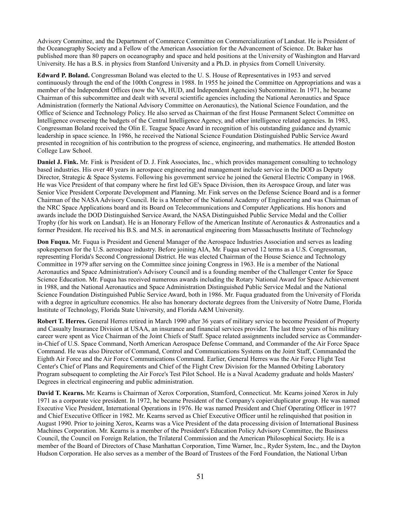Advisory Committee, and the Department of Commerce Committee on Commercialization of Landsat. He is President of the Oceanography Society and a Fellow of the American Association for the Advancement of Science. Dr. Baker has published more than 80 papers on oceanography and space and held positions at the University of Washington and Harvard University. He has a B.S. in physics from Stanford University and a Ph.D. in physics from Cornell University.

**Edward P. Boland.** Congressman Boland was elected to the U. S. House of Representatives in 1953 and served continuously through the end of the 100th Congress in 1988. In 1955 he joined the Committee on Appropriations and was a member of the Independent Offices (now the VA, HUD, and Independent Agencies) Subcommittee. In 1971, he became Chairman of this subcommittee and dealt with several scientific agencies including the National Aeronautics and Space Administration (formerly the National Advisory Committee on Aeronautics), the National Science Foundation, and the Office of Science and Technology Policy. He also served as Chairman of the first House Permanent Select Committee on Intelligence overseeing the budgets of the Central Intelligence Agency, and other intelligence related agencies. In 1983, Congressman Boland received the Olin E. Teague Space Award in recognition of his outstanding guidance and dynamic leadership in space science. In 1986, he received the National Science Foundation Distinguished Public Service Award presented in recognition of his contribution to the progress of science, engineering, and mathematics. He attended Boston College Law School.

**Daniel J. Fink.** Mr. Fink is President of D. J. Fink Associates, Inc., which provides management consulting to technology based industries. His over 40 years in aerospace engineering and management include service in the DOD as Deputy Director, Strategic & Space Systems. Following his government service he joined the General Electric Company in 1968. He was Vice President of that company where he first led GE's Space Division, then its Aerospace Group, and later was Senior Vice President Corporate Development and Planning. Mr. Fink serves on the Defense Science Board and is a former Chairman of the NASA Advisory Council. He is a Member of the National Academy of Engineering and was Chairman of the NRC Space Applications board and its Board on Telecommunications and Computer Applications. His honors and awards include the DOD Distinguished Service Award, the NASA Distinguished Public Service Medal and the Collier Trophy (for his work on Landsat). He is an Honorary Fellow of the American Institute of Aeronautics & Astronautics and a former President. He received his B.S. and M.S. in aeronautical engineering from Massachusetts Institute of Technology

**Don Fuqua.** Mr. Fuqua is President and General Manager of the Aerospace Industries Association and serves as leading spokesperson for the U.S. aerospace industry. Before joining AIA, Mr. Fuqua served 12 terms as a U.S. Congressman, representing Florida's Second Congressional District. He was elected Chairman of the House Science and Technology Committee in 1979 after serving on the Committee since joining Congress in 1963. He is a member of the National Aeronautics and Space Administration's Advisory Council and is a founding member of the Challenger Center for Space Science Education. Mr. Fuqua has received numerous awards including the Rotary National Award for Space Achievement in 1988, and the National Aeronautics and Space Administration Distinguished Public Service Medal and the National Science Foundation Distinguished Public Service Award, both in 1986. Mr. Fuqua graduated from the University of Florida with a degree in agriculture economics. He also has honorary doctorate degrees from the University of Notre Dame, Florida Institute of Technology, Florida State University, and Florida A&M University.

**Robert T. Herres.** General Herres retired in March 1990 after 36 years of military service to become President of Property and Casualty Insurance Division at USAA, an insurance and financial services provider. The last three years of his military career were spent as Vice Chairman of the Joint Chiefs of Staff. Space related assignments included service as Commanderin-Chief of U.S. Space Command, North American Aerospace Defense Command, and Commander of the Air Force Space Command. He was also Director of Command, Control and Communications Systems on the Joint Staff, Commanded the Eighth Air Force and the Air Force Communications Command. Earlier, General Herres was the Air Force Flight Test Center's Chief of Plans and Requirements and Chief of the Flight Crew Division for the Manned Orbiting Laboratory Program subsequent to completing the Air Force's Test Pilot School. He is a Naval Academy graduate and holds Masters' Degrees in electrical engineering and public administration.

**David T. Kearns.** Mr. Kearns is Chairman of Xerox Corporation, Stamford, Connecticut. Mr. Kearns joined Xerox in July 1971 as a corporate vice president. In 1972, he became President of the Company's copier/duplicator group. He was named Executive Vice President, International Operations in 1976. He was named President and Chief Operating Officer in 1977 and Chief Executive Officer in 1982. Mr. Kearns served as Chief Executive Officer until he relinquished that position in August 1990. Prior to joining Xerox, Kearns was a Vice President of the data processing division of International Business Machines Corporation. Mr. Kearns is a member of the President's Education Policy Advisory Committee, the Business Council, the Council on Foreign Relation, the Trilateral Commission and the American Philosophical Society. He is a member of the Board of Directors of Chase Manhattan Corporation, Time Warner, Inc., Ryder System, Inc., and the Dayton Hudson Corporation. He also serves as a member of the Board of Trustees of the Ford Foundation, the National Urban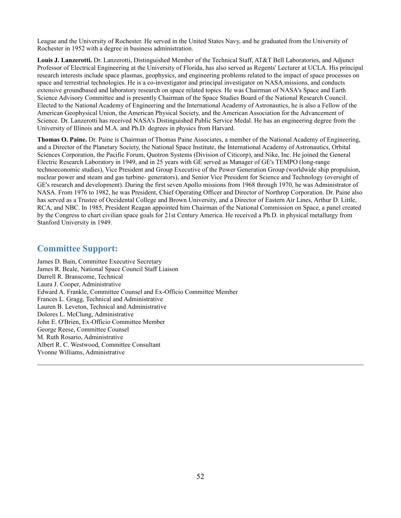League and the University of Rochester. He served in the United States Navy, and he graduated from the University of Rochester in 1952 with a degree in business administration.

**Louis J. Lanzerotti.** Dr. Lanzerotti, Distinguished Member of the Technical Staff, AT&T Bell Laboratories, and Adjunct Professor of Electrical Engineering at the University of Florida, has also served as Regents' Lecturer at UCLA. His principal research interests include space plasmas, geophysics, and engineering problems related to the impact of space processes on space and terrestrial technologies. He is a co-investigator and principal investigator on NASA.missions, and conducts extensive groundbased and laboratory research on space related topics. He was Chairman of NASA's Space and Earth Science Advisory Committee and is presently Chairman of the Space Studies Board of the National Research Council. Elected to the National Academy of Engineering and the International Academy of Astronautics, he is also a Fellow of the American Geophysical Union, the American Physical Society, and the American Association for the Advancement of Science. Dr. Lanzerotti has received NASA's Distinguished Public Service Medal. He has an engineering degree from the University of Illinois and M.A. and Ph.D. degrees in physics from Harvard.

**Thomas O. Paine.** Dr. Paine is Chairman of Thomas Paine Associates, a member of the National Academy of Engineering, and a Director of the Planetary Society, the National Space Institute, the International Academy of Astronautics, Orbital Sciences Corporation, the Pacific Forum, Quotron Systems (Division of Citicorp), and Nike, Inc. He joined the General Electric Research Laboratory in 1949, and in 25 years with GE served as Manager of GE's TEMPO (long-range technoeconomic studies), Vice President and Group Executive of the Power Generation Group (worldwide ship propulsion, nuclear power and steam and gas turbine- generators), and Senior Vice President for Science and Technology (oversight of GE's research and development). During the first seven Apollo missions from 1968 through 1970, he was Administrator of NASA. From 1976 to 1982, he was President, Chief Operating Officer and Director of Northrop Corporation. Dr. Paine also has served as a Trustee of Occidental College and Brown University, and a Director of Eastern Air Lines, Arthur D. Little, RCA, and NBC. In 1985, President Reagan appointed him Chairman of the National Commission on Space, a panel created by the Congress to chart civilian space goals for 21st Century America. He received a Ph.D. in physical metallurgy from Stanford University in 1949.

### **Committee Support:**

James D. Bain, Committee Executive Secretary James R. Beale, National Space Council Staff Liaison Darrell R. Branscome, Technical Laura J. Cooper, Administrative Edward A. Frankle, Committee Counsel and Ex-Officio Committee Member Frances L. Gragg, Technical and Administrative Lauren B. Leveton, Technical and Administrative Dolores L. McClung, Administrative John E. O'Brien, Ex-Officio Committee Member George Reese, Committee Counsel M. Ruth Rosario, Administrative Albert R. C. Westwood, Committee Consultant Yvonne Williams, Administrative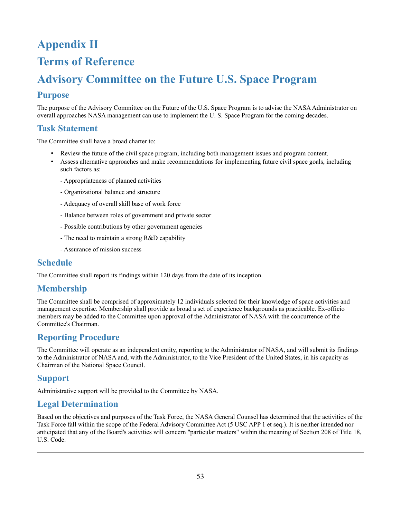# **Appendix II Terms of Reference**

## **Advisory Committee on the Future U.S. Space Program**

## **Purpose**

The purpose of the Advisory Committee on the Future of the U.S. Space Program is to advise the NASA Administrator on overall approaches NASA management can use to implement the U. S. Space Program for the coming decades.

## **Task Statement**

The Committee shall have a broad charter to:

- Review the future of the civil space program, including both management issues and program content.
- Assess alternative approaches and make recommendations for implementing future civil space goals, including such factors as:
	- Appropriateness of planned activities
	- Organizational balance and structure
	- Adequacy of overall skill base of work force
	- Balance between roles of government and private sector
	- Possible contributions by other government agencies
	- The need to maintain a strong R&D capability
	- Assurance of mission success

## **Schedule**

The Committee shall report its findings within 120 days from the date of its inception.

## **Membership**

The Committee shall be comprised of approximately 12 individuals selected for their knowledge of space activities and management expertise. Membership shall provide as broad a set of experience backgrounds as practicable. Ex-officio members may be added to the Committee upon approval of the Administrator of NASA with the concurrence of the Committee's Chairman.

## **Reporting Procedure**

The Committee will operate as an independent entity, reporting to the Administrator of NASA, and will submit its findings to the Administrator of NASA and, with the Administrator, to the Vice President of the United States, in his capacity as Chairman of the National Space Council.

## **Support**

Administrative support will be provided to the Committee by NASA.

## **Legal Determination**

Based on the objectives and purposes of the Task Force, the NASA General Counsel has determined that the activities of the Task Force fall within the scope of the Federal Advisory Committee Act (5 USC APP 1 et seq.). It is neither intended nor anticipated that any of the Board's activities will concern "particular matters" within the meaning of Section 208 of Title 18, U.S. Code.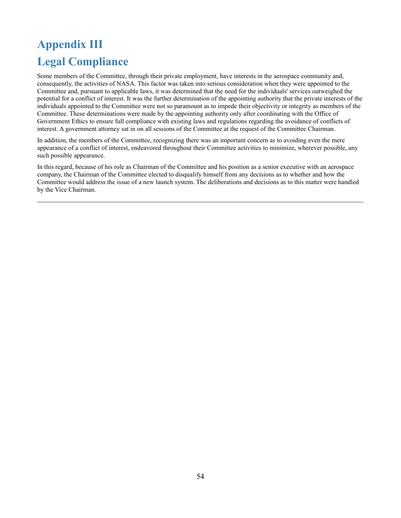# **Appendix III Legal Compliance**

Some members of the Committee, through their private employment, have interests in the aerospace community and, consequently, the activities of NASA. This factor was taken into serious consideration when they were appointed to the Committee and, pursuant to applicable laws, it was determined that the need for the individuals' services outweighed the potential for a conflict of interest. It was the further determination of the appointing authority that the private interests of the individuals appointed to the Committee were not so paramount as to impede their objectivity or integrity as members of the Committee. These determinations were made by the appointing authority only after coordinating with the Office of Government Ethics to ensure full compliance with existing laws and regulations regarding the avoidance of conflicts of interest. A government attorney sat in on all sessions of the Committee at the request of the Committee Chairman.

In addition, the members of the Committee, recognizing there was an important concern as to avoiding even the mere appearance of a conflict of interest, endeavored throughout their Committee activities to minimize, wherever possible, any such possible appearance.

In this regard, because of his role as Chairman of the Committee and his position as a senior executive with an aerospace company, the Chairman of the Committee elected to disqualify himself from any decisions as to whether and how the Committee would address the issue of a new launch system. The deliberations and decisions as to this matter were handled by the Vice Chairman.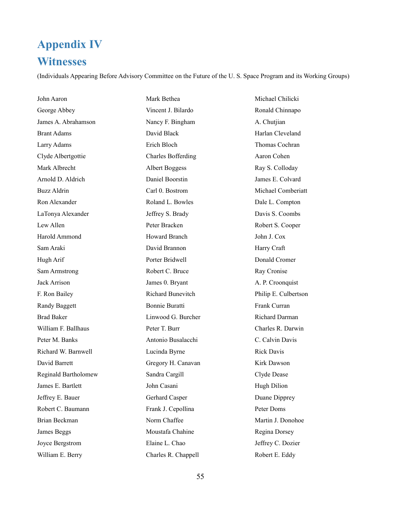# **Appendix IV Witnesses**

(Individuals Appearing Before Advisory Committee on the Future of the U. S. Space Program and its Working Groups)

John Aaron George Abbey James A. Abrahamson Brant Adams Larry Adams Clyde Albertgottie Mark Albrecht Arnold D. Aldrich Buzz Aldrin Ron Alexander LaTonya Alexander Lew Allen Harold Ammond Sam Araki Hugh Arif Sam Armstrong Jack Arrison F. Ron Bailey Randy Baggett Brad Baker William F. Ballhaus Peter M. Banks Richard W. Barnwell David Barrett Reginald Bartholomew James E. Bartlett Jeffrey E. Bauer Robert C. Baumann Brian Beckman James Beggs Joyce Bergstrom William E. Berry

Mark Bethea Vincent J. Bilardo Nancy F. Bingham David Black Erich Bloch Charles Bofferding Albert Boggess Daniel Boorstin Carl 0. Bostrom Roland L. Bowles Jeffrey S. Brady Peter Bracken Howard Branch David Brannon Porter Bridwell Robert C. Bruce James 0. Bryant Richard Bunevitch Bonnie Buratti Linwood G. Burcher Peter T. Burr Antonio Busalacchi Lucinda Byrne Gregory H. Canavan Sandra Cargill John Casani Gerhard Casper Frank J. Cepollina Norm Chaffee Moustafa Chahine Elaine L. Chao Charles R. Chappell

Michael Chilicki Ronald Chinnapo A. Chutjian Harlan Cleveland Thomas Cochran Aaron Cohen Ray S. Colloday James E. Colvard Michael Comberiatt Dale L. Compton Davis S. Coombs Robert S. Cooper John J. Cox Harry Craft Donald Cromer Ray Cronise A. P. Croonquist Philip E. Culbertson Frank Curran Richard Darman Charles R. Darwin C. Calvin Davis Rick Davis Kirk Dawson Clyde Dease Hugh Dilion Duane Dipprey Peter Doms Martin J. Donohoe Regina Dorsey Jeffrey C. Dozier Robert E. Eddy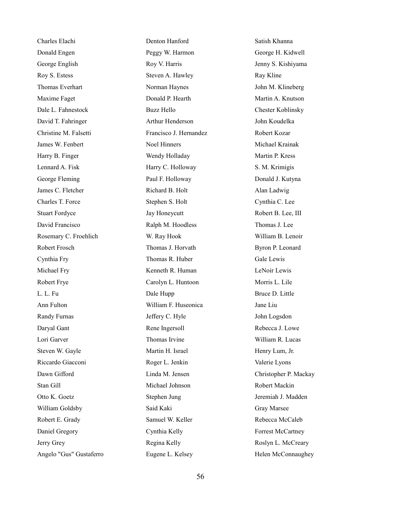Charles Elachi Donald Engen George English Roy S. Estess Thomas Everhart Maxime Faget Dale L. Fahnestock David T. Fahringer Christine M. Falsetti James W. Fenbert Harry B. Finger Lennard A. Fisk George Fleming James C. Fletcher Charles T. Force Stuart Fordyce David Francisco Rosemary C. Froehlich Robert Frosch Cynthia Fry Michael Fry Robert Frye L. L. Fu Ann Fulton Randy Furnas Daryal Gant Lori Garver Steven W. Gayle Riccardo Giacconi Dawn Gifford Stan Gill Otto K. Goetz William Goldsby Robert E. Grady Daniel Gregory Jerry Grey Angelo "Gus" Gustaferro Denton Hanford Peggy W. Harmon Roy V. Harris Steven A. Hawley Norman Haynes Donald P. Hearth Buzz Hello Arthur Henderson Francisco J. Hernandez Noel Hinners Wendy Holladay Harry C. Holloway Paul F. Holloway Richard B. Holt Stephen S. Holt Jay Honeycutt Ralph M. Hoodless W. Ray Hook Thomas J. Horvath Thomas R. Huber Kenneth R. Human Carolyn L. Huntoon Dale Hupp William F. Huseonica Jeffery C. Hyle Rene Ingersoll Thomas Irvine Martin H. Israel Roger L. Jenkin Linda M. Jensen Michael Johnson Stephen Jung Said Kaki Samuel W. Keller Cynthia Kelly Regina Kelly Eugene L. Kelsey

Satish Khanna George H. Kidwell Jenny S. Kishiyama Ray Kline John M. Klineberg Martin A. Knutson Chester Koblinsky John Koudelka Robert Kozar Michael Krainak Martin P. Kress S. M. Krimigis Donald J. Kutyna Alan Ladwig Cynthia C. Lee Robert B. Lee, III Thomas J. Lee William B. Lenoir Byron P. Leonard Gale Lewis LeNoir Lewis Morris L. Lile Bruce D. Little Jane Liu John Logsdon Rebecca J. Lowe William R. Lucas Henry Lum, Jr. Valerie Lyons Christopher P. Mackay Robert Mackin Jeremiah J. Madden Gray Marsee Rebecca McCaleb Forrest McCartney Roslyn L. McCreary Helen McConnaughey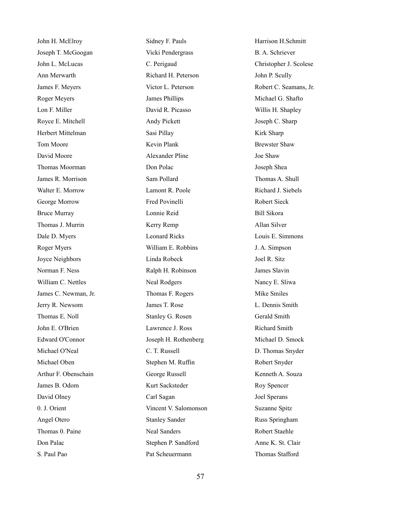John H. McElroy Joseph T. McGoogan John L. McLucas Ann Merwarth James F. Meyers Roger Meyers Lon F. Miller Royce E. Mitchell Herbert Mittelman Tom Moore David Moore Thomas Moorman James R. Morrison Walter E. Morrow George Morrow Bruce Murray Thomas J. Murrin Dale D. Myers Roger Myers Joyce Neighbors Norman F. Ness William C. Nettles James C. Newman, Jr. Jerry R. Newsom Thomas E. Noll John E. O'Brien Edward O'Connor Michael O'Neal Michael Oben Arthur F. Obenschain James B. Odom David Olney 0. J. Orient Angel Otero Thomas 0. Paine Don Palac S. Paul Pao

Sidney F. Pauls Vicki Pendergrass C. Perigaud Richard H. Peterson Victor L. Peterson James Phillips David R. Picasso Andy Pickett Sasi Pillay Kevin Plank Alexander Pline Don Polac Sam Pollard Lamont R. Poole Fred Povinelli Lonnie Reid Kerry Remp Leonard Ricks William E. Robbins Linda Robeck Ralph H. Robinson Neal Rodgers Thomas F. Rogers James T. Rose Stanley G. Rosen Lawrence J. Ross Joseph H. Rothenberg C. T. Russell Stephen M. Ruffin George Russell Kurt Sacksteder Carl Sagan Vincent V. Salomonson Stanley Sander Neal Sanders Stephen P. Sandford Pat Scheuermann

Harrison H.Schmitt B. A. Schriever Christopher J. Scolese John P. Scully Robert C. Seamans, Jr. Michael G. Shafto Willis H. Shapley Joseph C. Sharp Kirk Sharp Brewster Shaw Joe Shaw Joseph Shea Thomas A. Shull Richard J. Siebels Robert Sieck Bill Sikora Allan Silver Louis E. Simmons J. A. Simpson Joel R. Sitz James Slavin Nancy E. Sliwa Mike Smiles L. Dennis Smith Gerald Smith Richard Smith Michael D. Smock D. Thomas Snyder Robert Snyder Kenneth A. Souza Roy Spencer Joel Sperans Suzanne Spitz Russ Springham Robert Staehle Anne K. St. Clair Thomas Stafford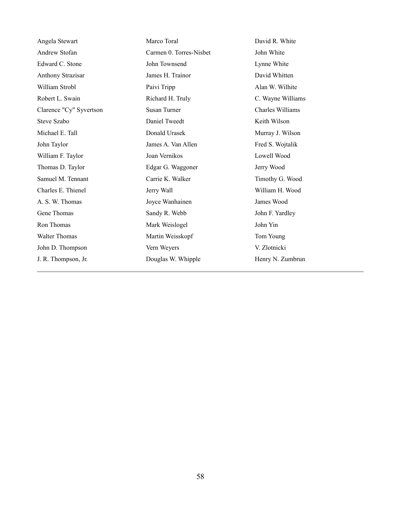| Angela Stewart           | Marco Toral             | David R. White    |
|--------------------------|-------------------------|-------------------|
| Andrew Stofan            | Carmen 0. Torres-Nisbet | John White        |
| Edward C. Stone          | John Townsend           | Lynne White       |
| <b>Anthony Strazisar</b> | James H. Trainor        | David Whitten     |
| William Strobl           | Paivi Tripp             | Alan W. Wilhite   |
| Robert L. Swain          | Richard H. Truly        | C. Wayne Williams |
| Clarence "Cy" Syvertson  | Susan Turner            | Charles Williams  |
| Steve Szabo              | Daniel Tweedt           | Keith Wilson      |
| Michael E. Tall          | Donald Urasek           | Murray J. Wilson  |
| John Taylor              | James A. Van Allen      | Fred S. Wojtalik  |
| William F. Taylor        | Joan Vernikos           | Lowell Wood       |
| Thomas D. Taylor         | Edgar G. Waggoner       | Jerry Wood        |
| Samuel M. Tennant        | Carrie K. Walker        | Timothy G. Wood   |
| Charles E. Thienel       | Jerry Wall              | William H. Wood   |
| A. S. W. Thomas          | Joyce Wanhainen         | James Wood        |
| Gene Thomas              | Sandy R. Webb           | John F. Yardley   |
| Ron Thomas               | Mark Weislogel          | John Yin          |
| <b>Walter Thomas</b>     | Martin Weisskopf        | Tom Young         |
| John D. Thompson         | Vern Weyers             | V. Zlotnicki      |
| J. R. Thompson, Jr.      | Douglas W. Whipple      | Henry N. Zumbrun  |
|                          |                         |                   |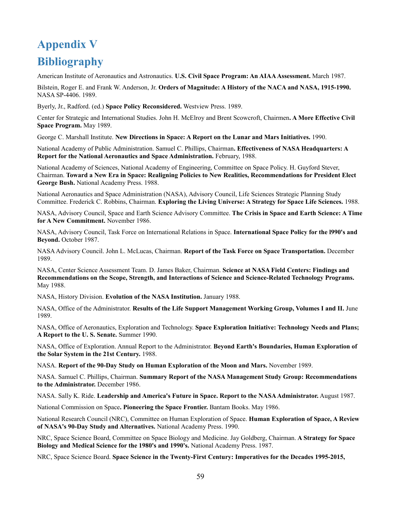# **Appendix V Bibliography**

American Institute of Aeronautics and Astronautics. **U.S. Civil Space Program: An AIAA Assessment.** March 1987.

Bilstein, Roger E. and Frank W. Anderson, Jr. **Orders of Magnitude: A History of the NACA and NASA, 1915-1990.** NASA SP-4406. 1989.

Byerly, Jr., Radford. (ed.) **Space Policy Reconsidered.** Westview Press. 1989.

Center for Strategic and International Studies. John H. McElroy and Brent Scowcroft, Chairmen**. A More Effective Civil Space Program.** May 1989.

George C. Marshall Institute. **New Directions in Space: A Report on the Lunar and Mars Initiatives.** 1990.

National Academy of Public Administration. Samuel C. Phillips, Chairman**. Effectiveness of NASA Headquarters: A Report for the National Aeronautics and Space Administration.** February, 1988.

National Academy of Sciences, National Academy of Engineering, Committee on Space Policy. H. Guyford Stever, Chairman. **Toward a New Era in Space: Realigning Policies to New Realities, Recommendations for President Elect George Bush.** National Academy Press. 1988.

National Aeronautics and Space Administration (NASA), Advisory Council, Life Sciences Strategic Planning Study Committee. Frederick C. Robbins, Chairman. **Exploring the Living Universe: A Strategy for Space Life Sciences.** 1988.

NASA, Advisory Council, Space and Earth Science Advisory Committee. **The Crisis in Space and Earth Science: A Time for A New Commitment.** November 1986.

NASA, Advisory Council, Task Force on International Relations in Space. **International Space Policy for the l990's and Beyond.** October 1987.

NASA Advisory Council. John L. McLucas, Chairman. **Report of the Task Force on Space Transportation.** December 1989.

NASA, Center Science Assessment Team. D. James Baker, Chairman. **Science at NASA Field Centers: Findings and Recommendations on the Scope, Strength, and Interactions of Science and Science-Related Technology Programs.** May 1988.

NASA, History Division. **Evolution of the NASA Institution.** January 1988.

NASA, Office of the Administrator. **Results of the Life Support Management Working Group, Volumes I and II.** June 1989.

NASA, Office of Aeronautics, Exploration and Technology. **Space Exploration Initiative: Technology Needs and Plans; A Report to the U. S. Senate.** Summer 1990.

NASA, Office of Exploration. Annual Report to the Administrator. **Beyond Earth's Boundaries, Human Exploration of the Solar System in the 21st Century.** 1988.

NASA. **Report of the 90-Day Study on Human Exploration of the Moon and Mars.** November 1989.

NASA. Samuel C. Phillips, Chairman. **Summary Report of the NASA Management Study Group: Recommendations to the Administrator.** December 1986.

NASA. Sally K. Ride. **Leadership and America's Future in Space. Report to the NASA Administrator.** August 1987.

National Commission on Space**. Pioneering the Space Frontier.** Bantam Books. May 1986.

National Research Council (NRC), Committee on Human Exploration of Space. **Human Exploration of Space, A Review of NASA's 90-Day Study and Alternatives.** National Academy Press. 1990.

NRC, Space Science Board, Committee on Space Biology and Medicine. Jay Goldberg, Chairman. **A Strategy for Space Biology and Medical Science for the 1980's and 1990's.** National Academy Press. 1987.

NRC, Space Science Board. **Space Science in the Twenty-First Century: Imperatives for the Decades 1995-2015,**